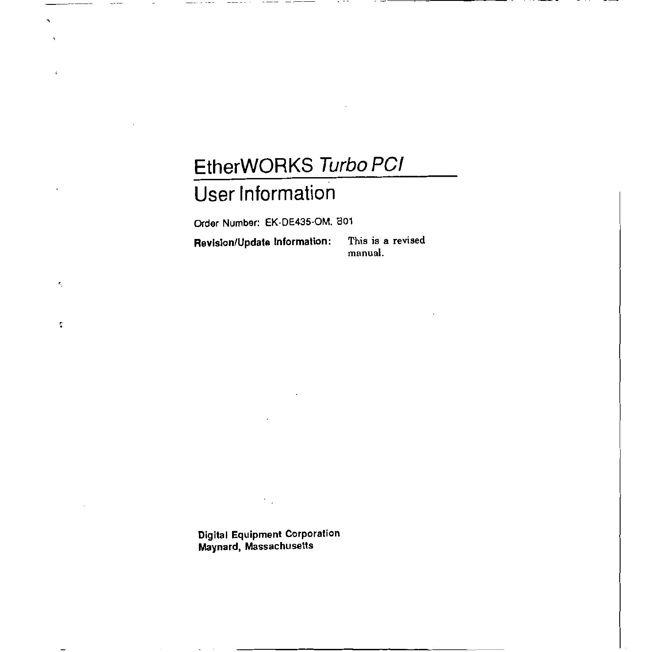# **EtherWORKS Turbo PC/ User Information**

Order Number: EK-DE435-0M. 801

**Revision/Update Information:** This is a revised

 $\mathbf{e}_i$ 

 $\ddot{\phantom{a}}$ 

 $\overline{\phantom{a}}$ 

 $-$ 

 $- - -$ 

**mnnual.** 

Digital Equipment Corporation Maynard, Massachusetts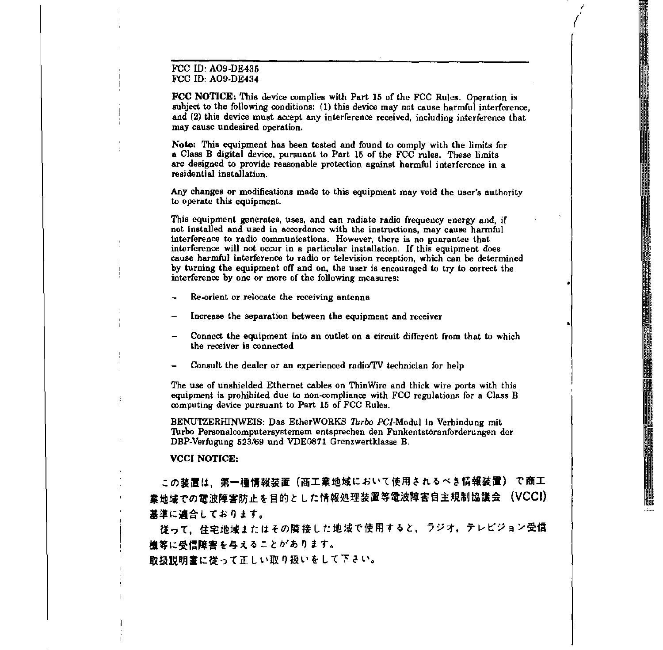#### FCC ID: A09-DE435 FCC ID: A09-DE434

FCC NOTICE: Thie device complies with Part 15 of the FCC Rules. Operation is subject to the following conditions: (1) this device may not cause harmful interference, and (2) this device must accept any interference received, including interference that may cause undesired operation.

*I*   $\int$ 

Note: This equipment has been tested and found to comply with the limits for a Class B digital device, pursuant to Part 15 of the FCC rules. These limits are designed to provide reasonable protection against harmful interference in a residential installation.

Any changes or modifications made to this equipment may void the user's authority to operate this equipment.

This equipment generates, uses, and can radiate radio frequency energy and, if not installed and used in accordance with the instructions, may cause harmful interference to radio communications. However, there is no guarantee that interference will not occur in a particular installation. If this equipment does cause harmful interference to radio or television reception, which can be determined by turning the equipment off and on, the user is encouraged to try to correct the interference by one or more of the following measures:

- Re-orient or relocate the receiving antenna
- Increase the separation between the equipment and receiver
- Connect the equipment into an outlet on a circuit different from that to which the receiver is connected
- Consult the dealer or an experienced radio/TV technician for help

The use of unshielded Ethernet cables on Thin Wire and thick wire ports with this equipment is prohibited due to non-compliance with FCC regulations for a Class B computing device pursuant to Part 15 of FCC Rules.

BENUTZERffiNWEIS: Das EtherWORKS *Turbo* PC/-Modul in Verbindung mit Turbo Personalcomputersystemem entsprechen den Funkentstoranforderungen der DBP-Verfugung 623/69 und VDE0871 Grenzwertklasse B.

#### **VCCI NOTICE:**

この装置は、第一種情報装置(商工業地域において使用されるべき情報装置) で商工 業地域での電波障害防止を目的とした情報処理装置等電波障害自主規制協議会 (VCCI) 基準に適合しております。

役って, 住宅地域またはその隣接した地域で使用すると, ラジオ, テレビジョン受信 ·機等に受信障害を与えることがあります。

取扱説明書に従って正しい取り扱いをして下さい。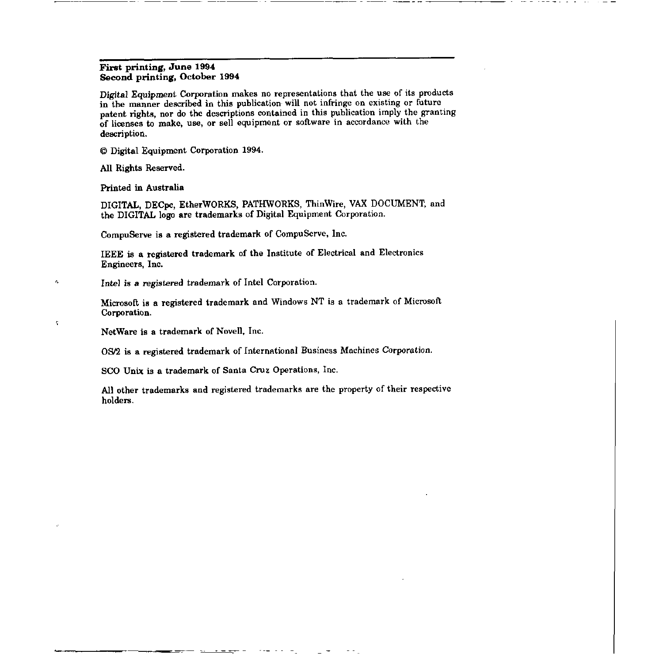#### First printing, June 1994 Second printing, October 1994

Digital Equipment Corporation makes no representations that the use of its products in the manner described in this publication will not infringe on existing or future patent rights, nor do the descriptions contained in this publication imply the granting of licenses to make, use, or sell equipment or software in accordance with the description.

© Digital Equipment Corporation 1994.

All Rights Reserved.

Printed in Australia

ċ,

 $\boldsymbol{\varsigma}$ 

DIGITAL, DECpc, EtherWORKS, PATHWORKS, ThinWire, VAX DOCUMENT, and the DIGITAL logo are trademarks of Digital Equipment Corporation.

CompuServe is a registered trademark of CompuServe, Inc.

IEEE is a registered trademark of the Institute of Electrical and Electronics Engineers, Inc.

Intel is a registered trademark of Intel Corporation.

Microsoft is a registered trademark and Windows NT is a trademark of Microsoft Corporation.

NetWare is a trademark of Novell, Inc.

08/2 is a registered trademark of International Business Machines Corporation.

SCO Unix is a trademark of Santa Cruz Operations, Inc.

All other trademarks and registered trademarks are the property of their respective holders.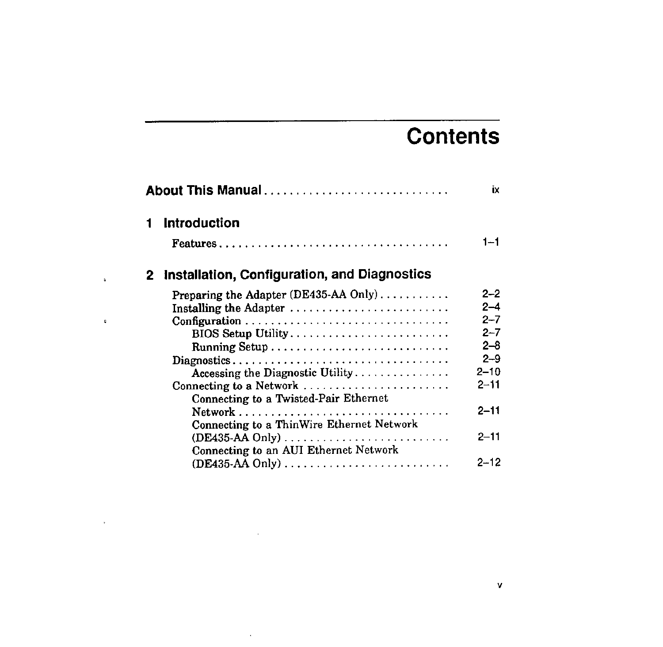# **Contents**

| About This Manual |                                              |          |
|-------------------|----------------------------------------------|----------|
| 1                 | <b>Introduction</b>                          |          |
|                   |                                              | $1 - 1$  |
| 2.                | Installation, Configuration, and Diagnostics |          |
|                   | Preparing the Adapter (DE435-AA Only)        | $2 - 2$  |
|                   | Installing the Adapter                       | $2 - 4$  |
|                   |                                              | $2 - 7$  |
|                   | BIOS Setup Utility                           | $2 - 7$  |
|                   |                                              | $2 - 8$  |
|                   |                                              | $2 - 9$  |
|                   | Accessing the Diagnostic Utility             | $2 - 10$ |
|                   | Connecting to a Network                      | 2-11     |
|                   | Connecting to a Twisted-Pair Ethernet        |          |
|                   |                                              | $2 - 11$ |
|                   | Connecting to a ThinWire Ethernet Network    |          |
|                   |                                              | 2–11     |
|                   | Connecting to an AUI Ethernet Network        |          |
|                   |                                              | $2 - 12$ |
|                   |                                              |          |

 $\bar{\phantom{a}}$ 

 $\ddot{\phantom{a}}$ 

 $\mathfrak g$ 

 $\bar{\nu}$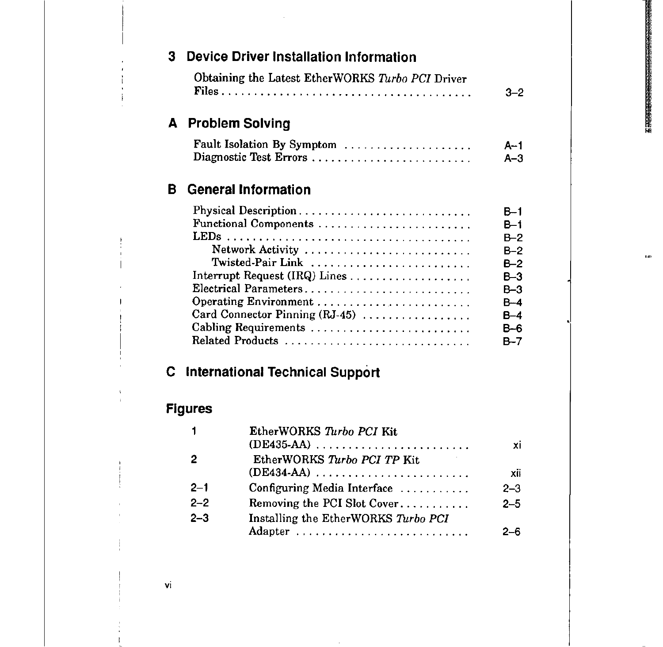.<br>Pas

| 3 |                | <b>Device Driver Installation Information</b>                                                                                                                                                                                            |                                                                                   |
|---|----------------|------------------------------------------------------------------------------------------------------------------------------------------------------------------------------------------------------------------------------------------|-----------------------------------------------------------------------------------|
|   |                | Obtaining the Latest EtherWORKS Turbo PCI Driver                                                                                                                                                                                         | 3–2                                                                               |
| A |                | <b>Problem Solving</b>                                                                                                                                                                                                                   |                                                                                   |
|   |                | Fault Isolation By Symptom<br>Diagnostic Test Errors                                                                                                                                                                                     | $A-1$<br>$A-3$                                                                    |
| в |                | <b>General Information</b>                                                                                                                                                                                                               |                                                                                   |
| C |                | Functional Components<br>Network Activity<br>Twisted-Pair Link<br>Electrical Parameters<br>Operating Environment<br>Card Connector Pinning (RJ-45)<br>Cabling Requirements<br>Related Products<br><b>International Technical Support</b> | $B-2$<br>$B-2$<br>$B - 2$<br>$B-3$<br>$B-3$<br>$B-4$<br>$B-4$<br>$B - 6$<br>$B-7$ |
|   | <b>Figures</b> |                                                                                                                                                                                                                                          |                                                                                   |
|   | 1              | EtherWORKS Turbo PCI Kit                                                                                                                                                                                                                 | xi                                                                                |
|   | 2              | EtherWORKS Turbo PCI TP Kit                                                                                                                                                                                                              | xii                                                                               |
|   | $2 - 1$        | Configuring Media Interface                                                                                                                                                                                                              | $2 - 3$                                                                           |
|   | $2 - 2$        | Removing the PCI Slot Cover                                                                                                                                                                                                              | $2 - 5$                                                                           |
|   | $2 - 3$        | Installing the EtherWORKS Turbo PCI                                                                                                                                                                                                      |                                                                                   |
|   |                | Adapter                                                                                                                                                                                                                                  | 2–6                                                                               |

vi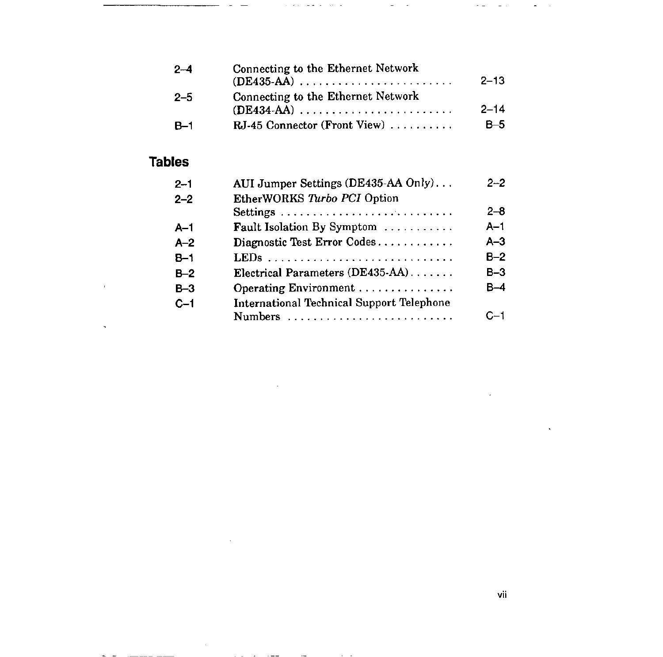| $2-4$  | Connecting to the Ethernet Network<br>$(DE435-AA)$ | $2 - 13$ |
|--------|----------------------------------------------------|----------|
| $-2-5$ | Connecting to the Ethernet Network                 | $2 - 14$ |
| - B–1  | RJ-45 Connector (Front View)                       | $B-5$    |

 $\omega$  and  $\omega$  . Then

÷.

ä,  $\sim$ 

 $\sim$   $-$ 

## **Tables**

 $\bar{1}$ 

 $\ddot{\phantom{1}}$ 

| $2 - 1$<br>$2 - 2$ | AUI Jumper Settings (DE435-AA Only)<br>EtherWORKS Turbo PCI Option | $2 - 2$    |
|--------------------|--------------------------------------------------------------------|------------|
|                    |                                                                    | $2 - 8$    |
| $A-1$              | Fault Isolation By Symptom                                         | $A-1$      |
| $A-2$              | Diagnostic Test Error Codes                                        | $A-3$      |
| $B-1$              |                                                                    | $B-2$      |
| $B-2$              | Electrical Parameters (DE435-AA)                                   | $B-3$      |
| B-3                | Operating Environment                                              | B-4        |
| $C-1$              | <b>International Technical Support Telephone</b>                   |            |
|                    | <b>Numbers</b>                                                     | <b>∩—1</b> |

 $\mathcal{L}$ 

 $\sim$ 

 $\sim$   $-$ 

 $\sim$ 

**Service** 

 $\frac{1}{\sqrt{2}}$  ,  $\frac{1}{\sqrt{2}}$  ,  $\frac{1}{\sqrt{2}}$ 

 $\sim$   $\sim$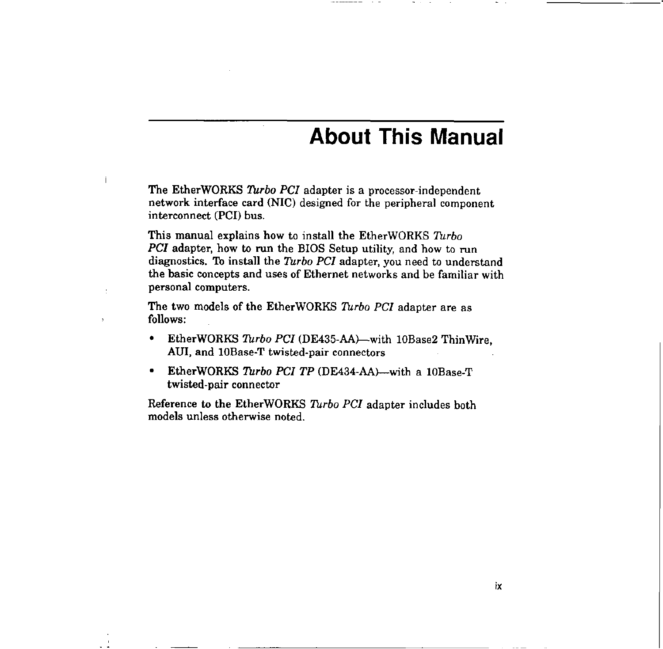## **About This Manual**

The EtherWORKS *Turbo PCI* adapter is a processor-independent network interface card (NIC) designed for the peripheral component interconnect (PCI) bus.

 $\overline{1}$ 

 $\overline{z}$ 

This manual explains how to install the EtherWORKS *Turbo PCI* adapter, how to run the BIOS Setup utility, and how to run diagnostics. To install the *Turbo PCI* adapter, you need to understand the basic concepts and uses of Ethernet networks and be familiar with personal computers.

The two models of the Ether WORKS *Turbo PCI* adapter are as follows:

- EtherWORKS *Turbo PCI* (DE435-AA)—with 10Base2 ThinWire, AUI, and 10Base-T twisted-pair connectors
- EtherWORKS *Turbo PCI TP* (DE434-AA)--with a lOBase-T twisted-pair connector

Reference to the EtherWORKS *Turbo PCI* adapter includes both models unless otherwise noted.

ix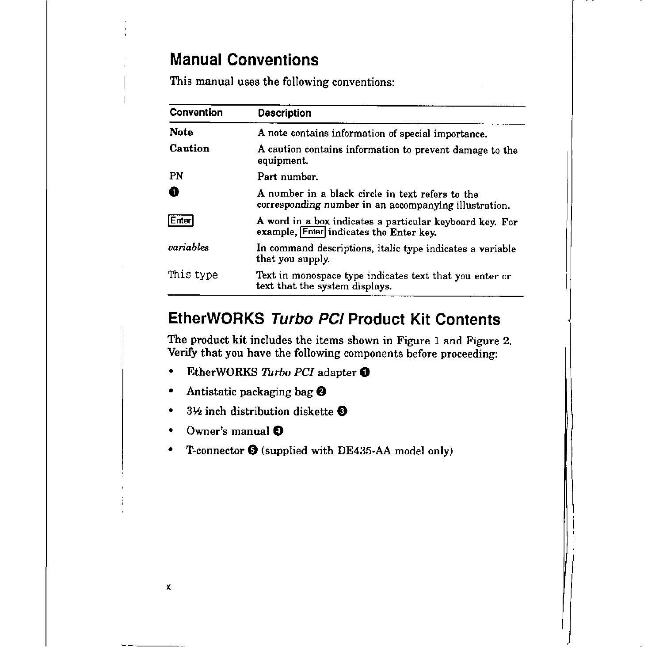## **Manual Conventions**

This manual uses the following conventions:

| Convention                                                                                                   | <b>Description</b>                                                                                        |
|--------------------------------------------------------------------------------------------------------------|-----------------------------------------------------------------------------------------------------------|
| <b>Note</b>                                                                                                  | A note contains information of special importance.                                                        |
| Caution<br>A caution contains information to prevent damage to the<br>equipment.                             |                                                                                                           |
| PN                                                                                                           | Part number.                                                                                              |
| П                                                                                                            | A number in a black circle in text refers to the<br>corresponding number in an accompanying illustration. |
| Enter<br>A word in a box indicates a particular keyboard key. For<br>example, Enter indicates the Enter key. |                                                                                                           |
| variables<br>In command descriptions, italic type indicates a variable<br>that you supply.                   |                                                                                                           |
| This type                                                                                                    | Text in monospace type indicates text that you enter or<br>text that the system displays.                 |

## **EtherWORKS Turbo PC/ Product Kit Contents**

The product kit includes the items shown in Figure 1 and Figure 2. Verify that you have the following components before proceeding:

- EtherWORKS *Turbo PCI* adapter **0**
- Antistatic packaging bag **0**
- 3½ inch distribution diskette **t)**
- Owner's manual **0**

X

• T-connector **0** (supplied with DE435-AA model only)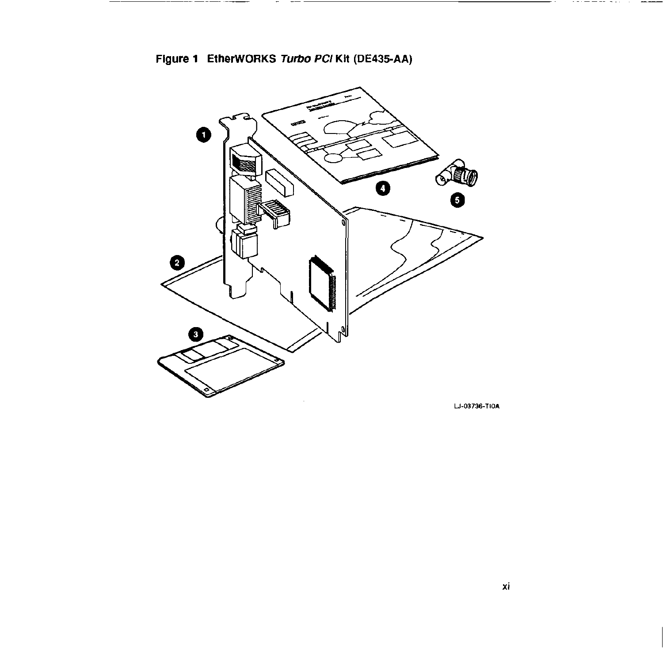

--------- ----



LJ-03736-TIOA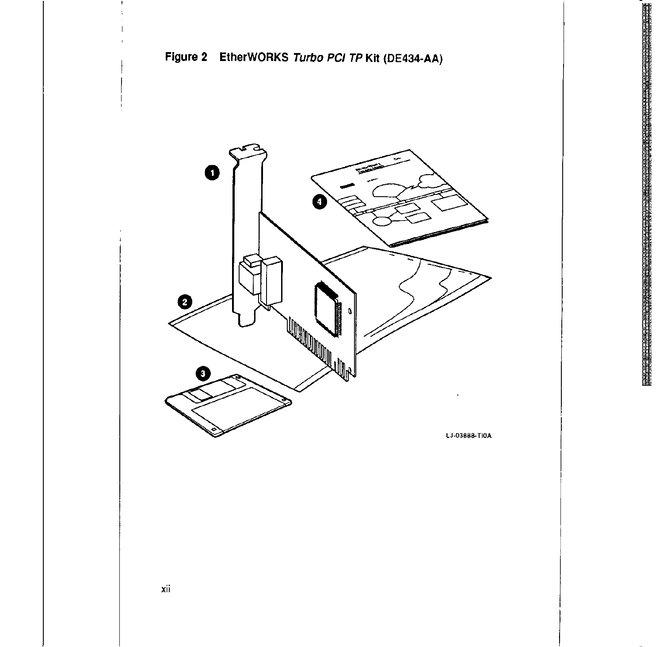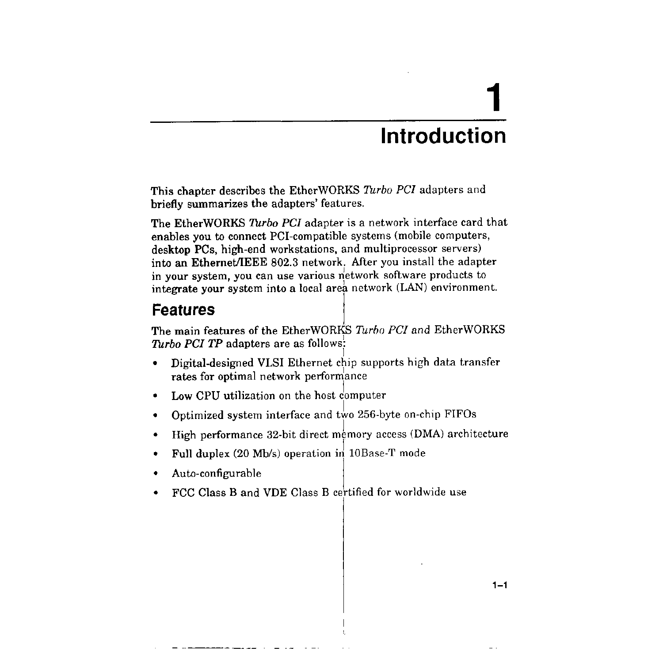# **Introduction**

**1** 

This chapter describes the EtherWORKS *Turbo PCI* adapters and briefly summarizes the adapters' features.

The EtherWORKS *Turbo PC!* adapter is a network interface card that enables you to connect PCI-compatible systems (mobile computers, desktop PCs, high-end workstations, and multiprocessor servers) into an EthernetJIEEE 802.3 network. After you install the adapter in your system, you can use various network software products to integrate your system into a local area network (LAN) environment.

## **Features** j

The main features of the EtherWORKS *Turbo PCI* and EtherWORKS *Turbo PCI TP* adapters are as follows:  $\vert$ 

- Digital-designed VLSI Ethernet chip supports high data transfer rates for optimal network perforniance
- Low CPU utilization on the host computer
- Optimized system interface and two 256-byte on-chip FIFOs
- High performance 32-bit direct memory access (DMA) architecture
- Full duplex (20 Mb/s) operation in 10Base-T mode
- Auto-configurable
- FCC Class B and VDE Class B certified for worldwide use

 $1 - 1$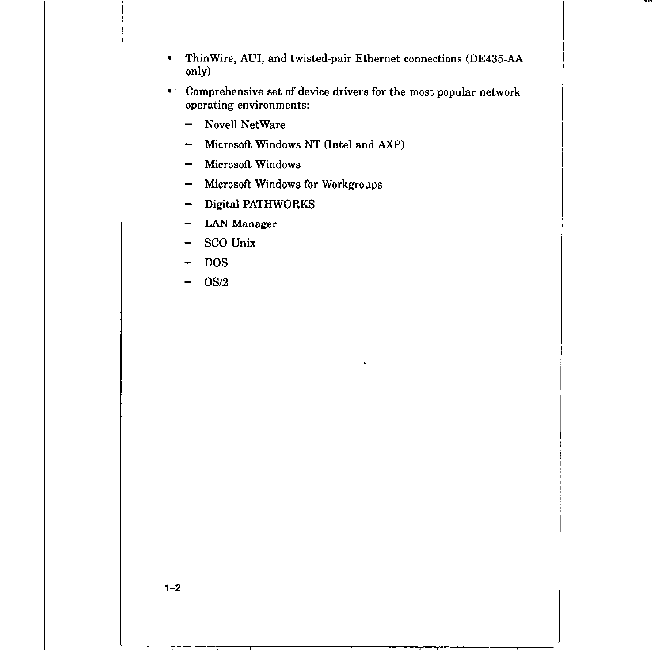- ThinWire, AUi, and twisted-pair Ethernet connections (DE435-AA only)
- Comprehensive set of device drivers for the most popular network operating environments:
	- Novell NetWare  $\overline{\phantom{0}}$
	- Microsoft Windows NT (Intel and AXP)  $\overline{\phantom{m}}$
	- Microsoft Windows
	- Microsoft Windows for Workgroups  $\overline{\phantom{a}}$
	- Digital PATHWORKS
	- **LAN** Manager
	- SCO Unix  $\overline{\phantom{m}}$
	- DOS
	- OS/2 -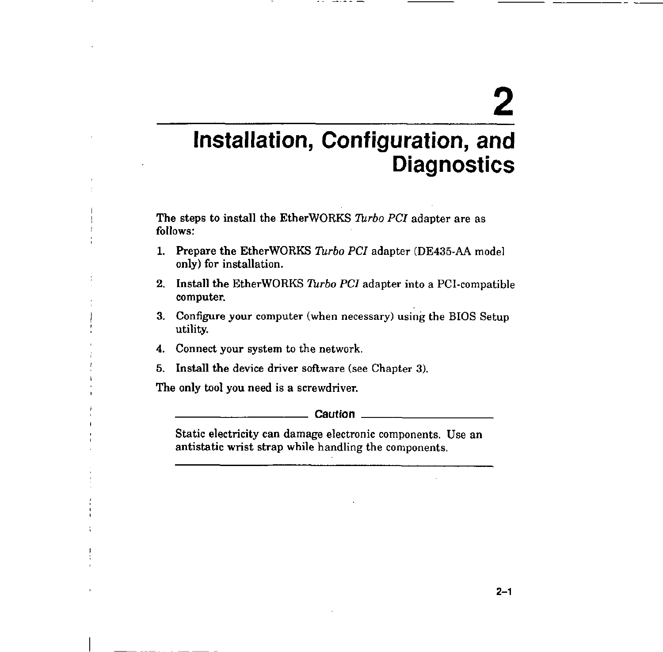# **2**

## **Installation, Configuration, and Diagnostics**

The steps to install the EtherWORKS *Turbo PC/* adapter are as follows:

- **1.** Prepare the EtherWORKS *Turbo PCI* adapter (DE435-AA model only) for installation.
- 2. Install the EtherWORKS *Turbo PC!* adapter into a PCI-compatible computer.
- 3. Configure your computer (when necessary) using the BIOS Setup utility.
- **4.** Connect your system to the network.
- 5. Install the device driver software (see Chapter 3).

The only tool you need is a screwdriver. ---------- **Caution** \_\_\_\_\_\_\_\_\_ \_

Static electricity can damage electronic components. Use an antistatic wrist strap while handling the components.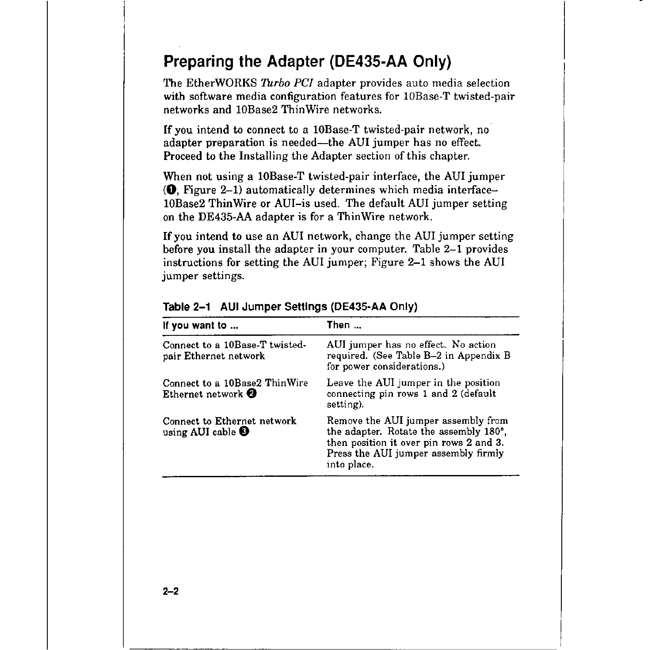## **Preparing the Adapter (DE435-AA Only)**

The EtherWORKS *Turbo PCJ* adapter provides auto media selection with software media configuration features for 10Base-T twisted-pair networks and 10Base2 Thin Wire networks.

If you intend to connect to a 10Base-T twisted-pair network, no adapter preparation is needed-the AUi jumper has no effect. Proceed to the Installing the Adapter section of this chapter.

When not using a l0Base-T twisted-pair interface, the AUI jumper **(0,** Figure 2-1) automatically determines which media interface-10Base2 Thin Wire or AUI-is used. The default AUI jumper setting on the DE435-AA adapter is for a Thin Wire network.

If you intend to use an AUI network, change the AUI jumper setting before you install the adapter in your computer. Table 2-1 provides instructions for setting the AUI jumper; Figure 2-1 shows the AUI jumper settings.

| If you want to                                                 | Then                                                                                                                                                                            |
|----------------------------------------------------------------|---------------------------------------------------------------------------------------------------------------------------------------------------------------------------------|
| Connect to a 10Base-T twisted-<br>pair Ethernet network        | AUI jumper has no effect. No action<br>required. (See Table B-2 in Appendix B<br>for power considerations.)                                                                     |
| Connect to a 10Base2 ThinWire<br>Ethernet network <sup>2</sup> | Leave the AUI jumper in the position<br>connecting pin rows 1 and 2 (default<br>setting).                                                                                       |
| Connect to Ethernet network<br>using AUI cable $\bullet$       | Remove the AUI jumper assembly from<br>the adapter. Rotate the assembly 180°,<br>then position it over pin rows 2 and 3.<br>Press the AUI jumper assembly firmly<br>into place. |

#### **Table 2-1 AUi Jumper Settings (DE435-AA Only)**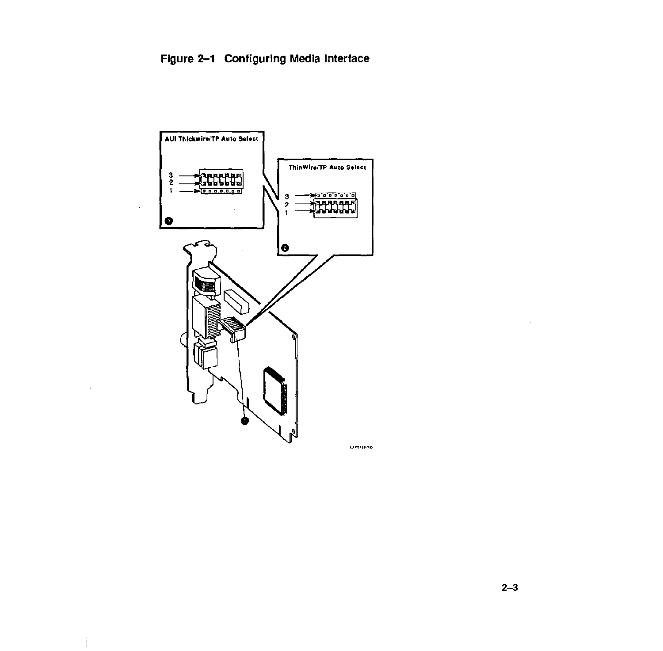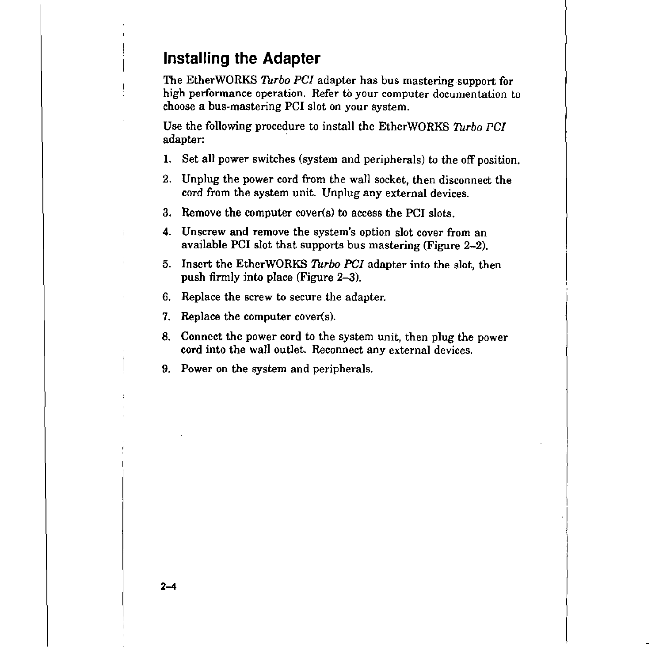## **Installing the Adapter**

The EtherWORKS *Turbo PC!* adapter has bus mastering support for high performance operation. Refer to your computer documentation to choose a bus-mastering PCI slot on your system.

Use the following procedure to install the EtherWORKS *Turbo PC!*  adapter:

- 1. Set all power switches (system and peripherals) to the off position.
- 2. Unplug the power cord from the wall socket, then disconnect the cord from the system unit. Unplug any external devices.
- 3. Remove the computer cover(s) to access the PCI slots.
- 4. Unscrew and remove the system's option slot cover from an available PCI slot that supports bus mastering (Figure 2-2).
- 5. Insert the EtherWORKS *Turbo PC!* adapter into the slot, then push firmly into place (Figure 2-3).
- 6. Replace the screw to secure the adapter.
- 7. Replace the computer cover(s).
- 8. Connect the power cord to the system unit, then plug the power cord into the wall outlet. Reconnect any external devices.
- 9. Power on the system and peripherals.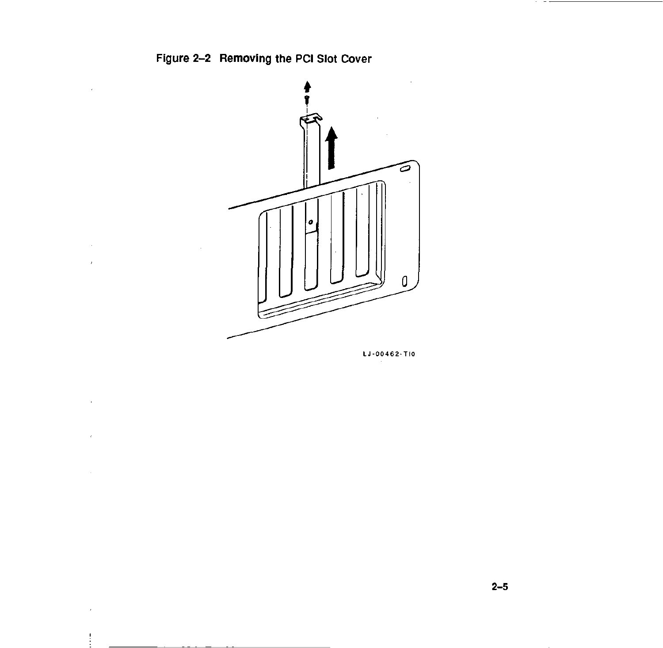

LJ-00462-TI0

 $\sim$   $-$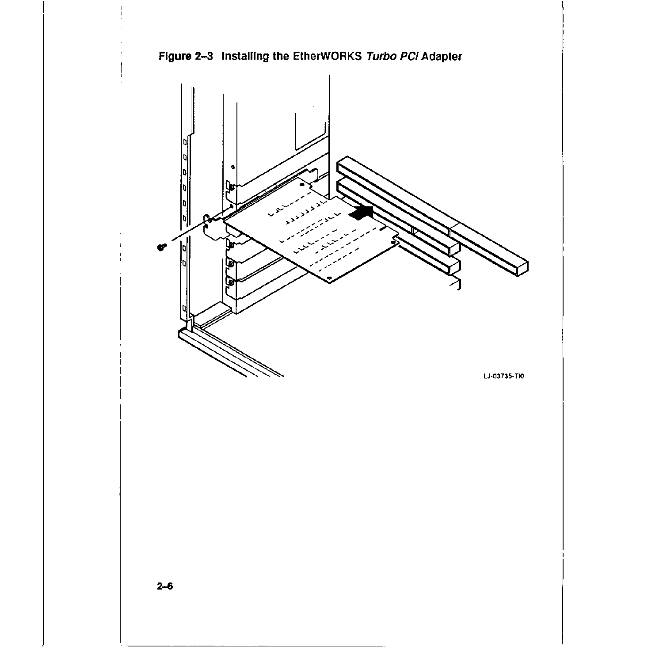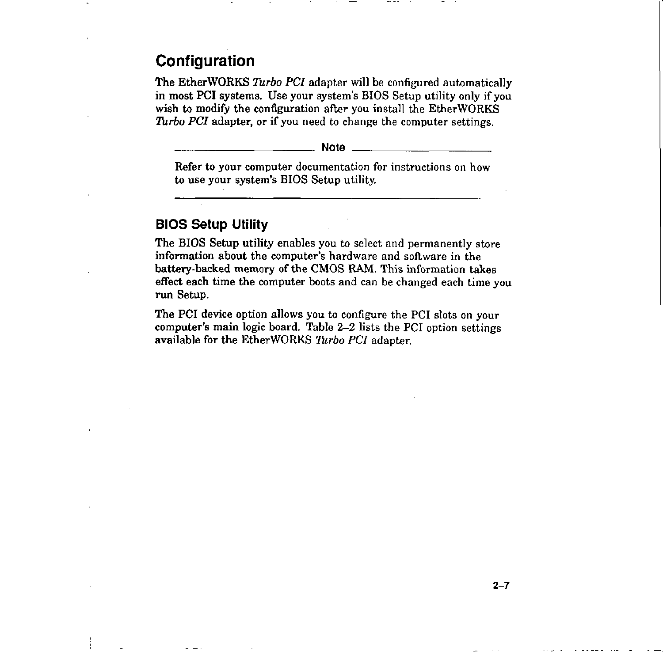## **Configuration**

The EtherWORKS *Turbo PCI* adapter will be configured automatically in most PCI systems. Use your system's BIOS Setup utility only if you wish to modify the configuration after you install the EtherWORKS *Turbo PCI* adapter, or if you need to change the computer settings.

**Note** \_\_\_\_\_\_\_\_\_ \_

Refer to your computer documentation for instructions on how to use your system's BIOS Setup utility.

### **BIOS Setup Utility**

The BIOS Setup utility enables you to select and permanently store information about the computer's hardware and software in the battery-backed memory of the CMOS RAM. This information takes effect each time the computer boots and can be changed each time you run Setup.

The PCI device option allows you to configure the PCI slots on your computer's main logic board. Table 2-2 lists the PCI option settings available for the EtherWORKS *Turbo PCI* adapter.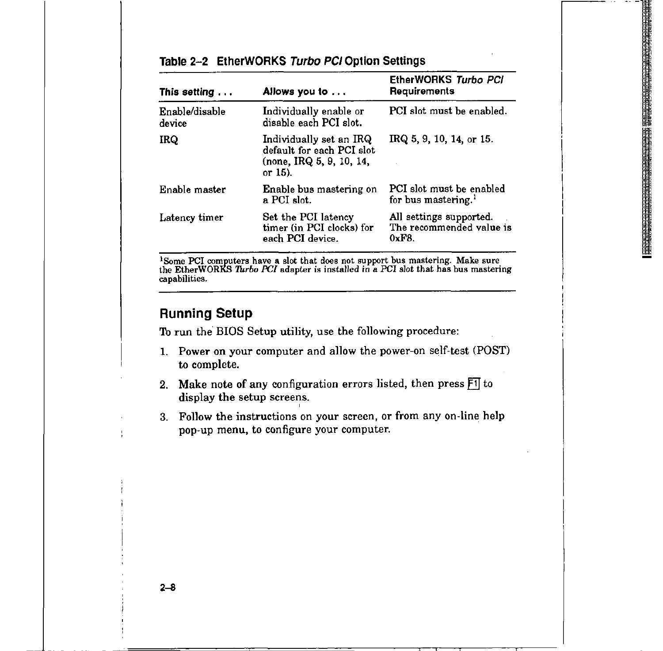| Table 2-2 EtherWORKS Turbo PCI Option Settings |  |  |  |
|------------------------------------------------|--|--|--|
|------------------------------------------------|--|--|--|

| This setting $\dots$     | Allows you to                                                                                   | EtherWORKS Turbo PCI<br>Requirements                         |
|--------------------------|-------------------------------------------------------------------------------------------------|--------------------------------------------------------------|
| Enable/disable<br>device | Individually enable or<br>disable each PCI slot.                                                | PCI slot must be enabled.                                    |
| IRQ                      | Individually set an IRQ<br>default for each PCI slot.<br>(none, IRQ 5, 9, 10, 14,<br>or $15$ ). | IRQ 5, 9, 10, 14, or 15.                                     |
| Enable master            | Enable bus mastering on<br>a PCI slot.                                                          | PCI slot must be enabled<br>for bus mastering. <sup>1</sup>  |
| Latency timer            | Set the PCI latency<br>timer (in PCI clocks) for<br>each PCI device.                            | All settings supported.<br>The recommended value is<br>0xF8. |

<sup>1</sup>Some PCI computers have a slot that does not support bus mastering. Make sure the EtherWORKS *Turbo PCI* adapter is installed in a PCI slot that has bus mastering capabilities.

### **Running Setup**

To run the BIOS Setup utility, use the following procedure:

- 1. Power on your computer and allow the power-on self-test (POST) to complete.
- 2. Make note of any configuration errors listed, then press  $\boxed{1}$  to display the setup screens.
- 3. Follow the instructions on your screen, or from any on-line help pop-up menu, to configure your computer.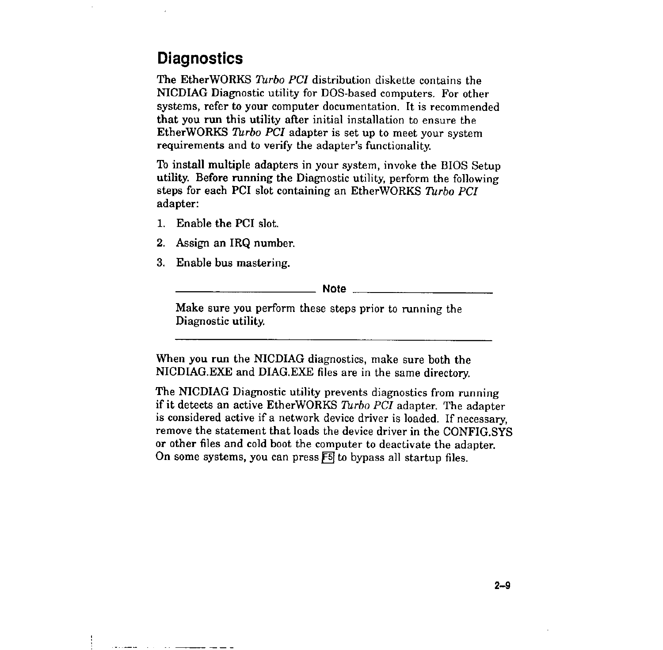## **Diagnostics**

The EtherWORKS *Turbo PCI* distribution diskette contains the NICDIAG Diagnostic utility for DOS-based computers. For other systems, refer to your computer documentation. It is recommended that you run this utility after initial installation to ensure the EtherWORKS *Turbo PCI* adapter is set up to meet your system requirements and to verify the adapter's functionality.

To install multiple adapters in your system, invoke the BIOS Setup utility. Before running the Diagnostic utility, perform the following steps for each PC! slot containing an EtherWORKS *Turbo PCI*  adapter:

- 1. Enable the PCI slot.
- 2. Assign an IRQ number.
- 3. Enable bus mastering.

**Note** \_\_\_\_\_\_\_\_\_\_ \_

Make sure you perform these steps prior to running the Diagnostic utility.

When you run the NICDIAG diagnostics, make sure both the NICDIAG.EXE and DIAG.EXE files are in the same directory.

The NICDIAG Diagnostic utility prevents diagnostics from running if it detects an active EtherWORKS *Turbo PCI* adapter. The adapter is considered active if a network device driver is loaded. If necessary, remove the statement that loads the device driver in the CONFIG.SYS or other files and cold boot the computer to deactivate the adapter. On some systems, you can press  $F5$  to bypass all startup files.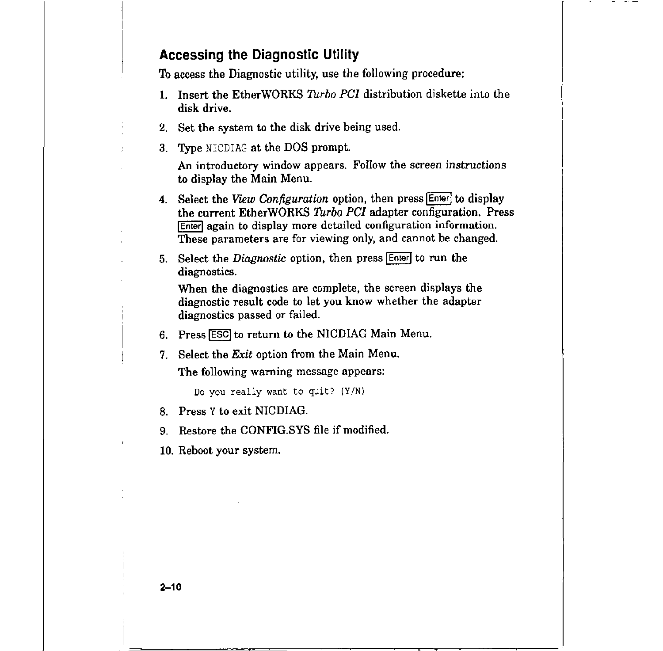#### **Accessing the Diagnostic Utility**

To access the Diagnostic utility, use the following procedure:

- 1. Insert the EtherWORKS *Turbo PCI* distribution diskette into the disk drive.
- 2. Set the system to the disk drive being used.
- 3. Type NICDIAG at the DOS prompt.

An introductory window appears. Follow the screen instructions to display the Main Menu.

- 4. Select the View Configuration option, then press **[Enter]** to display the current EtherWORKS *Turbo PCI* adapter configuration. Press **Enter again to display more detailed configuration information.** These parameters are for viewing only, and cannot be changed.
- 5. Select the *Diagnostic* option, then press **Enter** to run the diagnostics.

When the diagnostics are complete, the screen displays the diagnostic result code to let you know whether the adapter diagnostics passed or failed.

- 6. Press **[ESC]** to return to the NICDIAG Main Menu.
- 7. Select the *Exit* option from the Main Menu.

The following warning message appears:

Do you really want to quit?  $(Y/N)$ 

8. Press Y to exit NICDIAG.

9. Restore the CONFIG.SYS file if modified.

10. Reboot your system.

**2-10**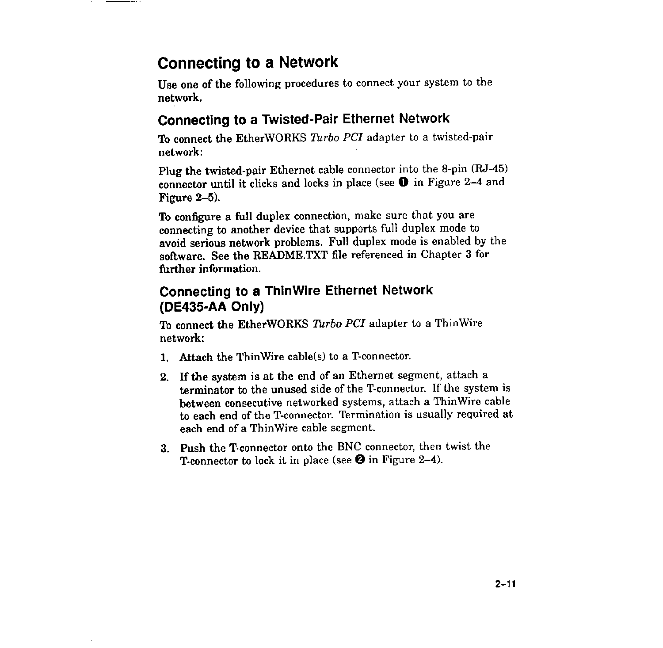## **Connecting to a Network**

Use one of the following procedures to connect your system to the network.

### **Connecting to a Twisted-Pair Ethernet Network**

To connect the EtherWORKS *Turbo PCI* adapter to a twisted-pair network:

Plug the twisted-pair Ethernet cable connector into the 8-pin (RJ-45) connector until it clicks and Jocks in place (see **O** in Figure 2-4 and Figure 2-5).

To configure a full duplex connection, make sure that you are connecting to another device that supports full duplex mode to avoid serious network problems. Full duplex mode is enabled by the software. See the README.TXT file referenced in Chapter 3 for further information.

## **Connecting to a ThinWire Ethernet Network (DE435-AA Only)**

To connect the EtherWORKS *Turbo PCI* adapter to a ThinWire network:

- 1. Attach the Thin Wire cable(s) to a T-connector.
- 2. If the system is at the end of an Ethernet segment, attach a terminator to the unused side of the T-connector. If the system is between consecutive networked systems, attach a ThinWire cable to each end of the T-connector. Termination is usually required at each end of a ThinWire cable segment.
- 3. Push the T-connector onto the BNC connector, then twist the T-connector to lock it in place (see **f}** in Figure 2-4).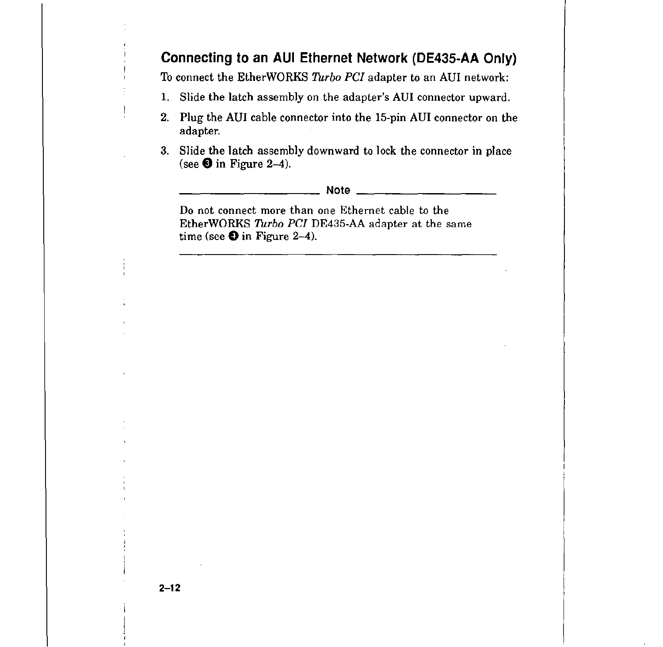### **Connecting to an AUi Ethernet Network (DE435-AA Only)**

To connect the EtherWORKS *Turbo PC!* adapter to an AUi network:

- 1. Slide the latch assembly on the adapter's AUi connector upward.
- 2. Plug the AUi cable connector into the 15-pin AUi connector on the adapter.
- 3. Slide the latch assembly downward to lock the connector in place (see **8** in Figure 2-4).

\_\_\_\_\_\_\_\_\_\_ **Note** \_\_\_\_\_\_\_\_\_ \_

Do not connect more than one Ethernet cable to the EtherWORKS *Turbo PCI* DE435-AA adapter at the same time (see  $\bullet$  in Figure 2-4).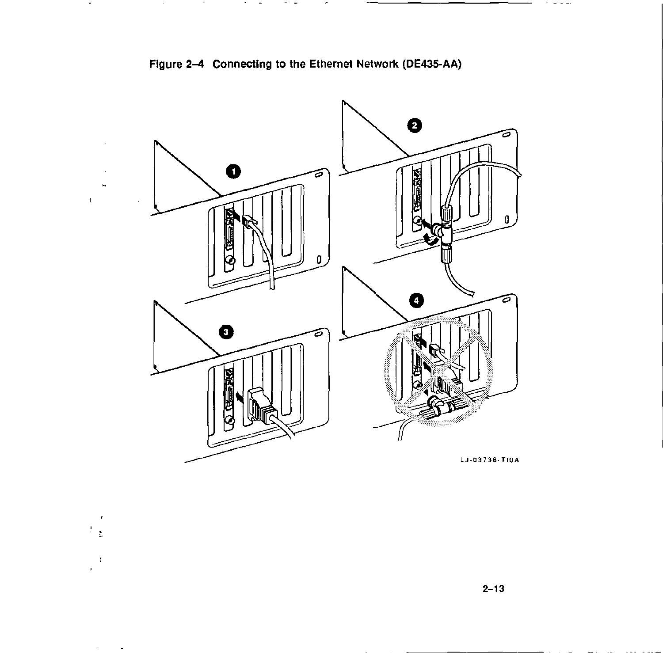

 $\pmb{\cdot}$  $\frac{1}{2}$  .

 $\sim t$  $\overline{a}$ 

 $\mathcal{A}^{\text{max}}_{\text{max}}$  and  $\mathcal{A}^{\text{max}}_{\text{max}}$ 

Figure 2-4 Connecting to the Ethernet Network (DE435-AA)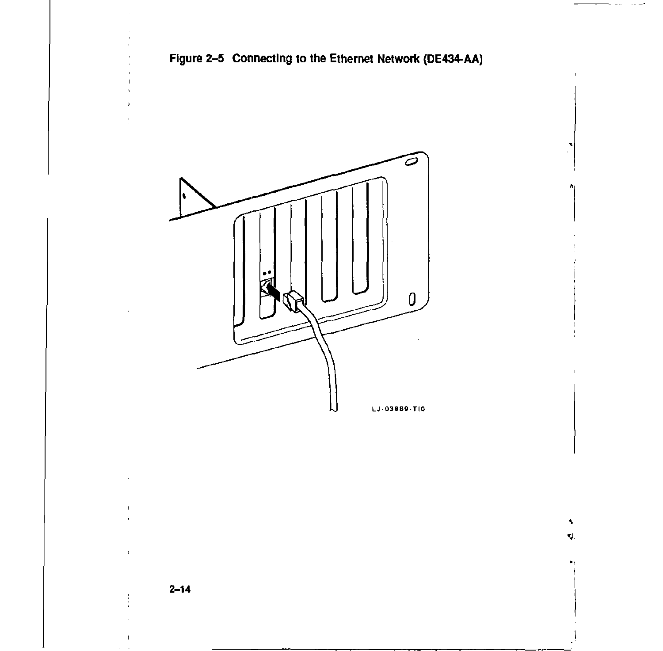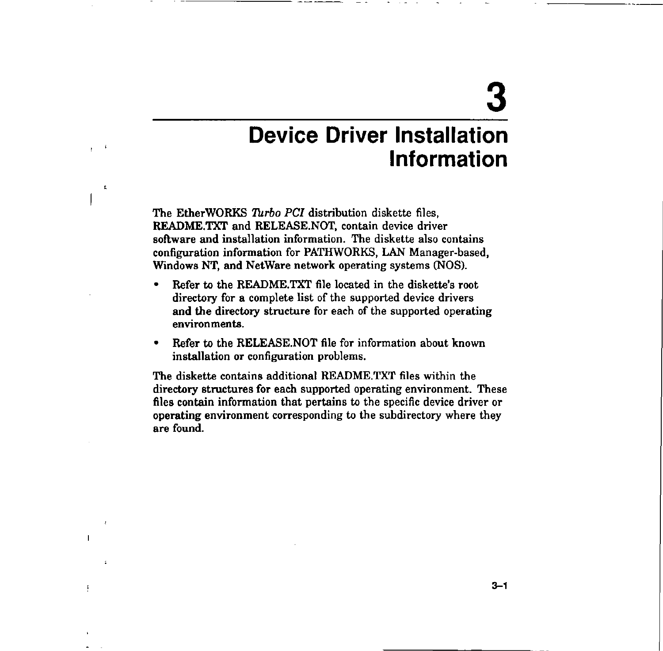# **3**

## **Device Driver Installation Information**

The EtherWORKS *Turbo PCI* distribution diskette files, README.TXT and RELEASE.NOT, contain device driver software and installation information. The diskette also contains configuration information for PATHWORKS, LAN Manager-based, Windows NT, and NetWare network operating systems (NOS).

------------.

 $\quad t$  $\mathbf{r}$ 

 $\tilde{\mathbf{r}}$ 

 $\mathbf{I}$ 

Ţ

 $\ddot{\cdot}$ 

- Refer to the README.TXT file located in the diskette's root directory for a complete list of the supported device drivers **and** the directory structure for each of the supported operating **environments.**
- Refer to the RELEASE.NOT file for information about known installation or configuration problems.

The diskette contains additional README.TXT files within the directory structures for each supported operating environment. These files contain information that pertains to the specific device driver or operating environment corresponding to the subdirectory where they are found.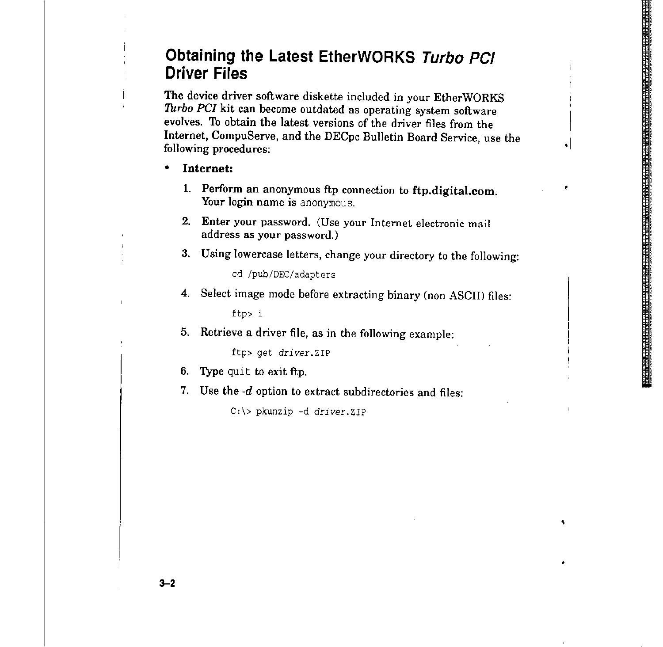## **Obtaining the Latest EtherWORKS Turbo PC/ Driver Files**

The device driver software diskette included in your EtherWORKS *Turbo PCI* kit can become outdated as operating system software evolves. To obtain the latest versions of the driver files from the Internet, CompuServe, and the DECpc Bulletin Board Service, use the following procedures:

- **Internet:** 
	- 1. Perform an anonymous ftp connection to **ftp.digital.com.**  Your login name is anonymous.
	- 2. Enter your password. (Use your Internet electronic mail address as your password.)

3. Using lowercase letters, change your directory to the following:

cd /pub/DEC/adapters

**4.** Select image mode before extracting binary (non ASCII) files:

ftp> i

5. Retrieve a driver file, as in the following example:

ftp> get *driver.ZIP* 

- 6. Type quit to exit ftp.
- 7. Use the -d option to extract subdirectories and files:

C:\> pkunzip -d *driver.ZIP* 

**3-2**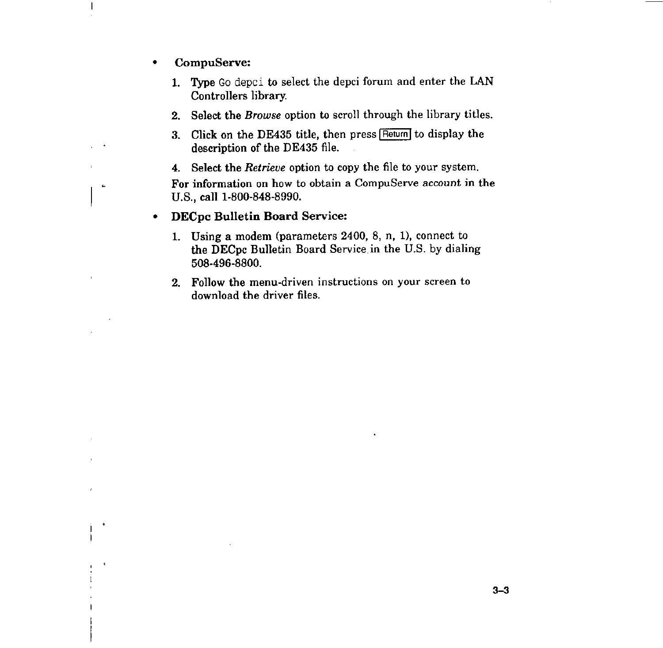• CompuServe:

 $\mathbf{I}$ 

 $\ddot{\phantom{0}}$ 

 $\mathbf{c}_i$ 

 $\hat{\textbf{C}}$ 

- 1. Type Go depci to select the depci forum and enter the LAN Controllers library.
- 2. Select the *Browse* option to scroll through the library titles.
- 3. Click on the DE435 title, then press Return to display the description of the DE435 file.
- 4. Select the *Retrieve* option to copy the file to your system.

For information on how to obtain a CompuServe account in the U.S., call 1-800-848-8990.

#### • DECpc Bulletin Board Service:

- 1. Using a modem (parameters 2400, 8, n, 1), connect to the DECpc Bulletin Board Service in the U.S. by dialing 508-496-8800.
- 2. Follow the menu-driven instructions on your screen to download the driver files.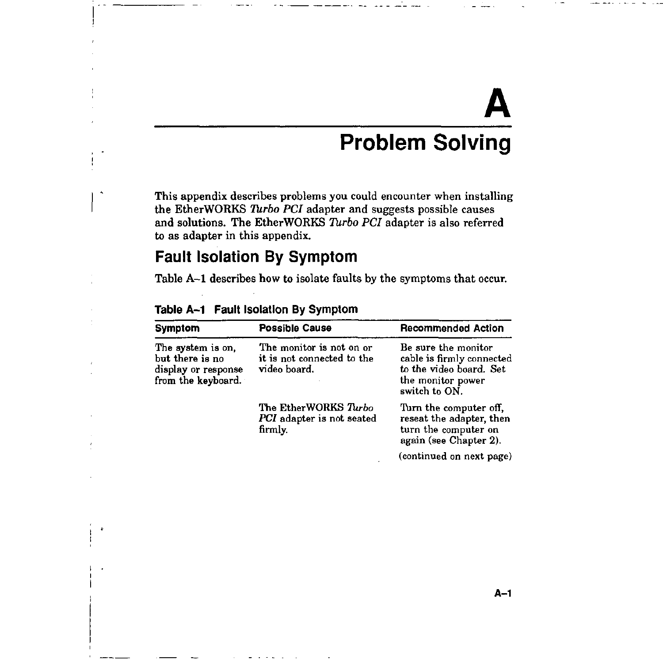# **A Problem Solving**

This appendix describes problems you could encounter when installing the EtherWORKS *Turbo PCI* adapter and suggests possible causes and solutions. The EtherWORKS *Turbo PCI* adapter is also referred to as adapter in this appendix.

## **Fault Isolation By Symptom**

Table A-1 describes how to isolate faults by the symptoms that occur.

| <b>Symptom</b>                                                                    | <b>Possible Cause</b>                                                  | <b>Recommended Action</b>                                                                                         |  |
|-----------------------------------------------------------------------------------|------------------------------------------------------------------------|-------------------------------------------------------------------------------------------------------------------|--|
| The system is on.<br>but there is no<br>display or response<br>from the keyboard. | The monitor is not on or<br>it is not connected to the<br>video board. | Be sure the monitor<br>cable is firmly connected<br>to the video board. Set<br>the monitor power<br>switch to ON. |  |
|                                                                                   | The EtherWORKS Turbo<br>PCI adapter is not seated<br>firmly.           | Turn the computer off,<br>reseat the adapter, then<br>turn the computer on<br>again (see Chapter 2).              |  |
|                                                                                   |                                                                        | (continued on next page)                                                                                          |  |

#### **Table A-1 Fault lsolatlon By Symptom**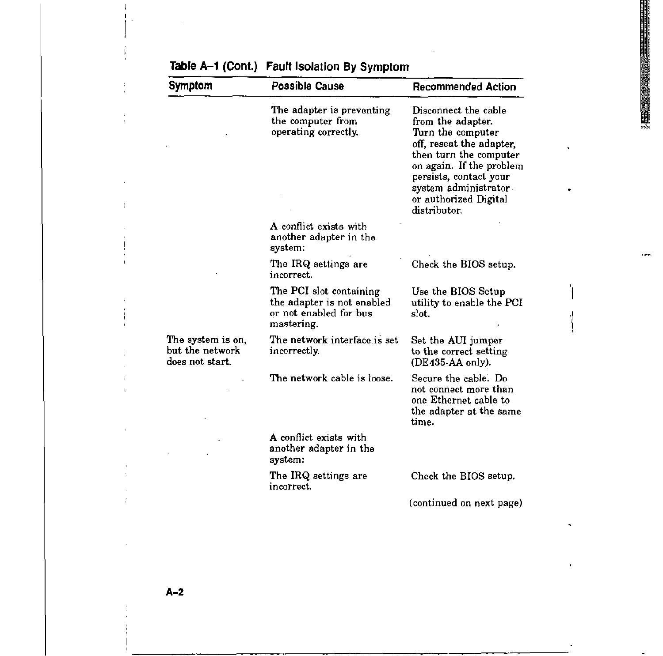| <b>Symptom</b>                                          | <b>Possible Cause</b>                                                                         | <b>Recommended Action</b>                                                                                                                                                                                                                   |
|---------------------------------------------------------|-----------------------------------------------------------------------------------------------|---------------------------------------------------------------------------------------------------------------------------------------------------------------------------------------------------------------------------------------------|
|                                                         | The adapter is preventing<br>the computer from<br>operating correctly.                        | Disconnect the cable<br>from the adapter.<br>Turn the computer<br>off, reseat the adapter,<br>then turn the computer<br>on again. If the problem<br>persists, contact your<br>system administrator<br>or authorized Digital<br>distributor. |
|                                                         | A conflict exists with<br>another adapter in the<br>system:                                   |                                                                                                                                                                                                                                             |
|                                                         | The IRQ settings are<br>incorrect.                                                            | Check the BIOS setup.                                                                                                                                                                                                                       |
|                                                         | The PCI slot containing<br>the adapter is not enabled<br>or not enabled for bus<br>mastering. | Use the BIOS Setup<br>utility to enable the PCI<br>slot.                                                                                                                                                                                    |
| The system is on,<br>but the network<br>does not start. | The network interface is set<br>incorrectly.                                                  | Set the AUI jumper<br>to the correct setting<br>$(DE435-AA)$ only).                                                                                                                                                                         |
|                                                         | The network cable is loose.                                                                   | Secure the cable. Do<br>not connect more than<br>one Ethernet cable to<br>the adapter at the same<br>time.                                                                                                                                  |
|                                                         | A conflict exists with<br>another adapter in the<br>system:                                   |                                                                                                                                                                                                                                             |
|                                                         | The IRQ settings are<br>incorrect.                                                            | Check the BIOS setup.                                                                                                                                                                                                                       |
|                                                         |                                                                                               | (continued on next page)                                                                                                                                                                                                                    |
|                                                         |                                                                                               |                                                                                                                                                                                                                                             |

1944

## Table A-1 (Cont.) **Fault Isolation By Symptom**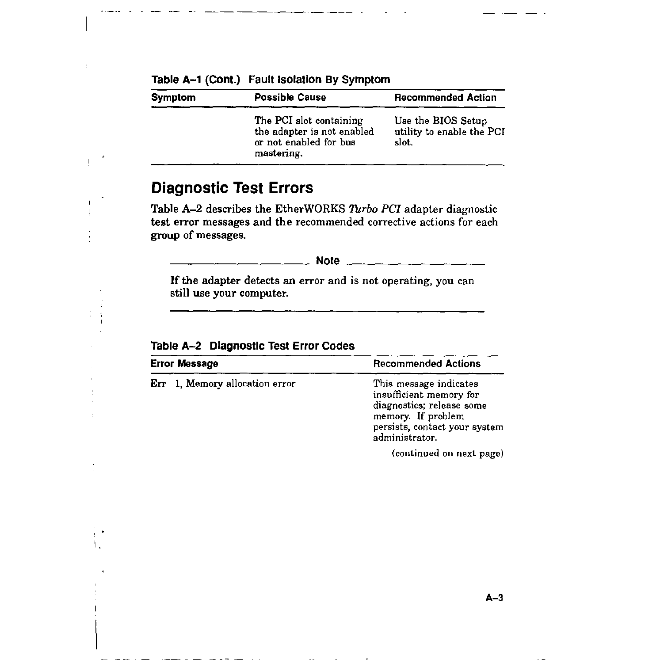| <b>Symptom</b> | <b>Possible Cause</b>                                                                         | <b>Recommended Action</b>                                |  |
|----------------|-----------------------------------------------------------------------------------------------|----------------------------------------------------------|--|
|                | The PCI slot containing<br>the adapter is not enabled<br>or not enabled for bus<br>mastering. | Use the BIOS Setup<br>utility to enable the PCI<br>slot. |  |

#### Table A-1 (Cont.) Fault Isolation By Symptom

## **Diagnostic Test Errors**

Table A-2 describes the EtherWORKS *Turbo PCI* adapter diagnostic test error messages and the recommended corrective actions for each group of messages.

**Note** \_\_\_\_\_\_\_\_\_ \_

If the adapter detects an error and is not operating, you can still use your computer.

| <b>Error Message</b>           | <b>Recommended Actions</b>                                                                                                                              |
|--------------------------------|---------------------------------------------------------------------------------------------------------------------------------------------------------|
| Err 1, Memory allocation error | This message indicates<br>insufficient memory for<br>diagnostics; release some<br>memory. If problem<br>persists, contact your system<br>administrator. |
|                                | (continued on next page)                                                                                                                                |

Table A-2 Diagnostic Test Error Codes

I.

 $\tilde{z}$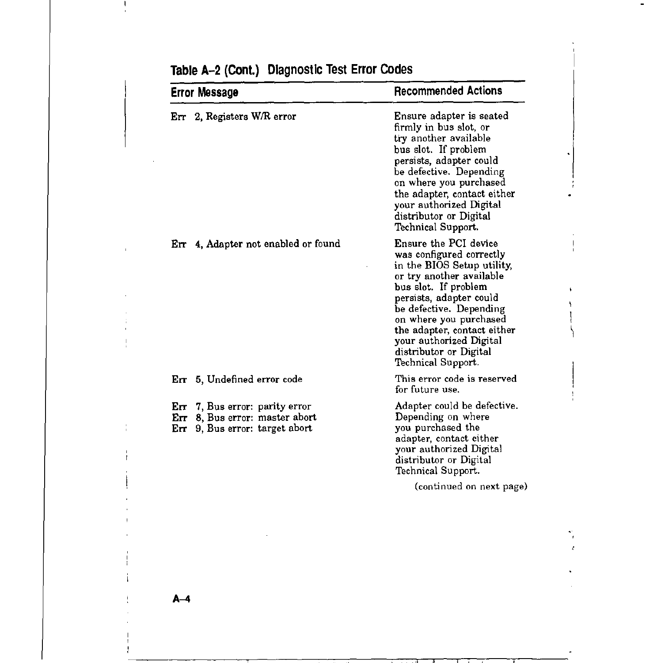| <b>Error Message</b>                                                                                    | <b>Recommended Actions</b>                                                                                                                                                                                                                                                                                                    |
|---------------------------------------------------------------------------------------------------------|-------------------------------------------------------------------------------------------------------------------------------------------------------------------------------------------------------------------------------------------------------------------------------------------------------------------------------|
| Err 2, Registers W/R error                                                                              | Ensure adapter is seated<br>firmly in bus slot, or<br>try another available<br>bus slot. If problem<br>persists, adapter could<br>be defective. Depending<br>on where you purchased<br>the adapter, contact either<br>your authorized Digital<br>distributor or Digital<br>Technical Support.                                 |
| Err 4, Adapter not enabled or found                                                                     | Ensure the PCI device<br>was configured correctly<br>in the BIOS Setup utility,<br>or try another available<br>bus slot. If problem<br>persists, adapter could<br>be defective. Depending<br>on where you purchased<br>the adapter, contact either<br>your authorized Digital<br>distributor or Digital<br>Technical Support. |
| Err 5, Undefined error code                                                                             | This error code is reserved<br>for future use.                                                                                                                                                                                                                                                                                |
| Err 7, Bus error: parity error<br>8, Bus error: master abort<br>Err<br>9, Bus error: target abort<br>Eп | Adapter could be defective.<br>Depending on where<br>you purchased the<br>adapter, contact either<br>your authorized Digital<br>distributor or Digital<br>Technical Support.                                                                                                                                                  |
|                                                                                                         | (continued on next page)                                                                                                                                                                                                                                                                                                      |

## **Table A-2 (Cont.) Diagnostic Test Error Codes**

**A-4** 

 $\mathbf{I}$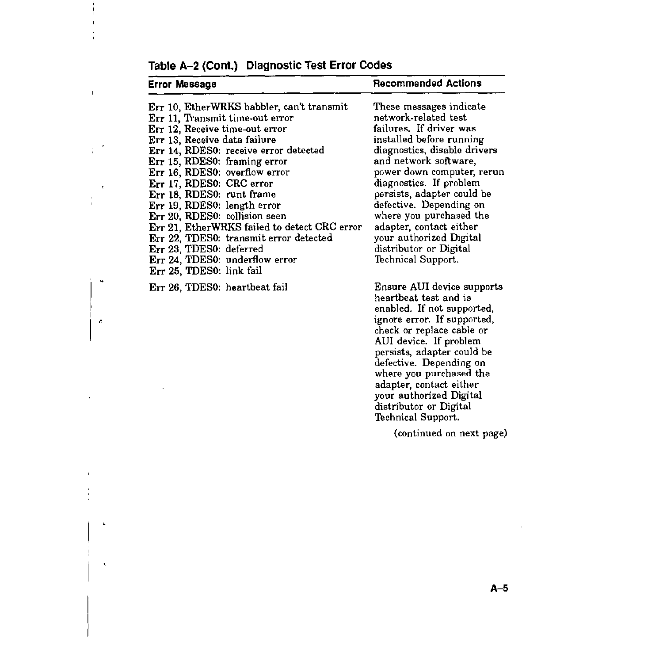| Error Message                                                                                                                                                                                                                                                                                                                                                                                                                                                                                          | <b>Recommended Actions</b>                                                                                                                                                                                                                                                                                                                                                                   |
|--------------------------------------------------------------------------------------------------------------------------------------------------------------------------------------------------------------------------------------------------------------------------------------------------------------------------------------------------------------------------------------------------------------------------------------------------------------------------------------------------------|----------------------------------------------------------------------------------------------------------------------------------------------------------------------------------------------------------------------------------------------------------------------------------------------------------------------------------------------------------------------------------------------|
| Err 10, EtherWRKS babbler, can't transmit<br>Err 11. Transmit time-out error<br>Err 12, Receive time-out error<br>Err 13, Receive data failure<br>Err 14, RDES0: receive error detected<br>Err 15, RDES0: framing error<br>Err 16, RDES0: overflow error<br>Err 17, RDES0: CRC error<br>Err 18, RDES0: runt frame<br>Err 19, RDES0: length error<br>Err 20, RDES0: collision seen<br>Err 21, EtherWRKS failed to detect CRC error<br>Err 22, TDES0: transmit error detected<br>Err 23, TDES0: deferred | These messages indicate<br>network-related test<br>failures. If driver was<br>installed before running<br>diagnostics, disable drivers<br>and network software,<br>power down computer, rerun<br>diagnostics. If problem<br>persists, adapter could be<br>defective. Depending on<br>where you purchased the<br>adapter, contact either<br>your authorized Digital<br>distributor or Digital |
| Err 24, TDES0: underflow error<br>Err 25, TDES0: link fail                                                                                                                                                                                                                                                                                                                                                                                                                                             | Technical Support.                                                                                                                                                                                                                                                                                                                                                                           |
| Err 26, TDES0: heartbeat fail                                                                                                                                                                                                                                                                                                                                                                                                                                                                          | Ensure AUI device supports<br>heartbeat test and is<br>enabled. If not supported,<br>ignore error. If supported,<br>check or replace cable or<br>AUI device. If problem<br>persists, adapter could be<br>defective. Depending on<br>where you purchased the<br>adapter, contact either<br>your authorized Digital<br>distributor or Digital<br>Technical Support.                            |
|                                                                                                                                                                                                                                                                                                                                                                                                                                                                                                        | (continued on next page)                                                                                                                                                                                                                                                                                                                                                                     |

## Table A-2 (Cont.) Diagnostic Test Error Codes

 $\bar{\rm I}$ 

 $\hat{\phantom{a}}$  $\frac{1}{4}$ 

 $\mathbf{c}$ 

 $\ddot{\phi}$ 

 $\mathcal{A}$ 

÷,

 $\bullet$ 

 $\tilde{\mathbf{x}}$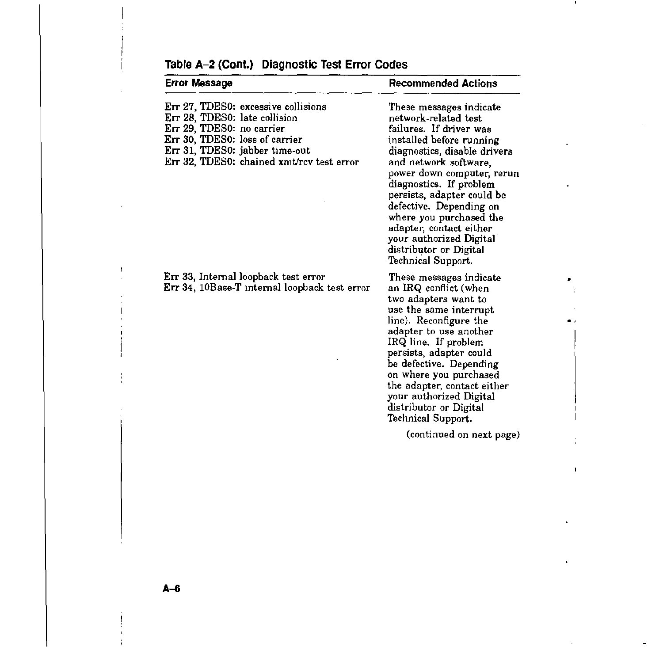| <b>Error Message</b>                                                                                                                                                                                               | <b>Recommended Actions</b>                                                                                                                                                                                                                                                                                                                                                                                         |
|--------------------------------------------------------------------------------------------------------------------------------------------------------------------------------------------------------------------|--------------------------------------------------------------------------------------------------------------------------------------------------------------------------------------------------------------------------------------------------------------------------------------------------------------------------------------------------------------------------------------------------------------------|
| Err 27, TDES0: excessive collisions<br>Err 28, TDES0: late collision<br>Err 29, TDES0: no carrier<br>Err 30, TDES0: loss of carrier<br>Err 31, TDES0: jabber time-out<br>Err 32, TDES0: chained xmt/rcv test error | These messages indicate<br>network-related test<br>failures. If driver was<br>installed before running<br>diagnostics, disable drivers<br>and network software,<br>power down computer, rerun<br>diagnostics. If problem<br>persists, adapter could be<br>defective. Depending on<br>where you purchased the<br>adapter, contact either<br>your authorized Digital<br>distributor or Digital<br>Technical Support. |
| Err 33, Internal loopback test error<br>Err 34, 10Base-T internal loopback test error                                                                                                                              | These messages indicate<br>an IRQ conflict (when<br>two adapters want to<br>use the same interrupt<br>line). Reconfigure the<br>adapter to use another<br>IRQ line. If problem<br>persists, adapter could<br>be defective. Depending<br>on where you purchased<br>the adapter, contact either<br>your authorized Digital<br>distributor or Digital<br>Technical Support.                                           |
|                                                                                                                                                                                                                    | (continued on next page)                                                                                                                                                                                                                                                                                                                                                                                           |

## Table A-2 (Cont.) Diagnostic Test Error Codes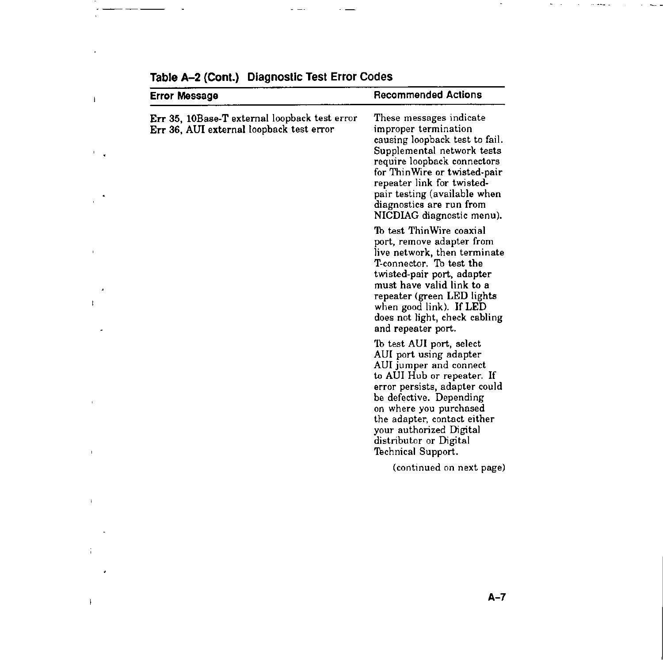| <b>Error Message</b>                                                                      | <b>Recommended Actions</b>                                                                                                                                                                                                                                                                                 |  |
|-------------------------------------------------------------------------------------------|------------------------------------------------------------------------------------------------------------------------------------------------------------------------------------------------------------------------------------------------------------------------------------------------------------|--|
| Err 35, 10Base-T external loopback test error<br>Err 36, AUI external loopback test error | These messages indicate<br>improper termination<br>causing loopback test to fail.<br>Supplemental network tests<br>require loopback connectors<br>for ThinWire or twisted-pair<br>repeater link for twisted-<br>pair testing (available when<br>diagnostics are run from<br>NICDIAG diagnostic menu).      |  |
|                                                                                           | To test ThinWire coaxial<br>port, remove adapter from<br>live network, then terminate<br>T-connector. To test the<br>twisted-pair port, adapter<br>must have valid link to a<br>repeater (green LED lights<br>when good link). If LED<br>does not light, check cabling<br>and repeater port.               |  |
|                                                                                           | To test AUI port, select<br>AUI port using adapter<br>AUI jumper and connect<br>to AUI Hub or repeater. If<br>error persists, adapter could<br>be defective. Depending<br>on where you purchased<br>the adapter, contact either<br>your authorized Digital<br>distributor or Digital<br>Technical Support. |  |
|                                                                                           | (continued on next page)                                                                                                                                                                                                                                                                                   |  |

| Table A-2 (Cont.) Diagnostic Test Error Codes |  |  |  |
|-----------------------------------------------|--|--|--|
|-----------------------------------------------|--|--|--|

 $\sim 10^{-11}$ 

 $\mathbf{E}^{(1)}$  and

 $\mathcal{F}_{\mathcal{A}}$  .

 $\bullet$ J.

 $\mathcal{A}$  $\mathbf{L}^{\mathrm{max}}$ 

 $\label{eq:4} \mathbf{F} = \mathbf{F} \mathbf{F} + \mathbf{F} \mathbf{F}$ 

 $\sim 10^{11}$  m  $^{-1}$ 

 $\mathcal{L}^{\text{max}}_{\text{max}}$  and  $\mathcal{L}^{\text{max}}_{\text{max}}$ 

 $\sim 10^{11}$  km  $^{-1}$  $\label{eq:2.1} \mathcal{L}(\mathcal{L}^{\text{max}}_{\mathcal{L}}(\mathcal{L}^{\text{max}}_{\mathcal{L}})) = \frac{1}{2} \sum_{i=1}^n \mathcal{L}^{\text{max}}_{\mathcal{L}^{\text{max}}_{\mathcal{L}}(\mathcal{L}^{\text{max}}_{\mathcal{L}^{\text{max}}_{\mathcal{L}^{\text{max}}_{\mathcal{L}^{\text{max}}_{\mathcal{L}^{\text{max}}_{\mathcal{L}^{\text{max}}_{\mathcal{L}^{\text{max}}_{\mathcal{L}^{\text{max}}_{\mathcal{L}^{\text{max}}_{$  $\sim 10$ 

 $\mathcal{H}^{\mathrm{c}}$  ,  $\mathcal{H}^{\mathrm{c}}$ 

and the control of

 $\sim$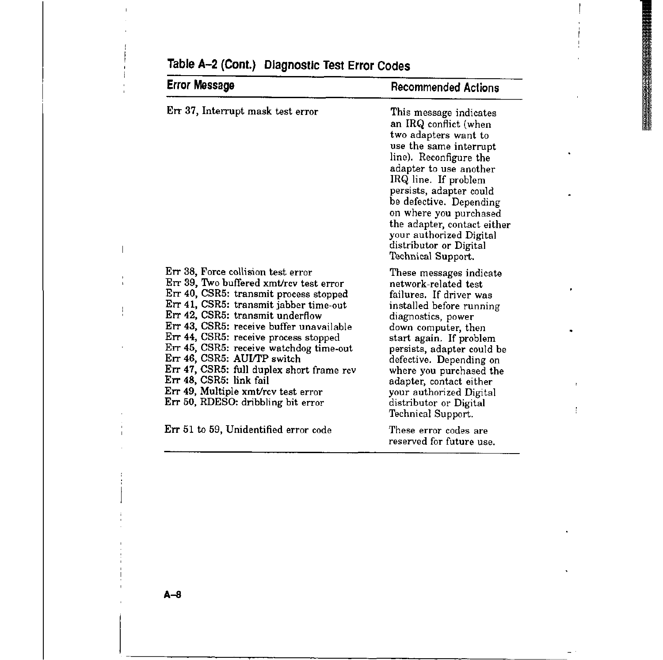| Error Message                                                                                                                                                                                                                                                                                                                                                                                                                                                                                                             | <b>Recommended Actions</b>                                                                                                                                                                                                                                                                                                                                                |
|---------------------------------------------------------------------------------------------------------------------------------------------------------------------------------------------------------------------------------------------------------------------------------------------------------------------------------------------------------------------------------------------------------------------------------------------------------------------------------------------------------------------------|---------------------------------------------------------------------------------------------------------------------------------------------------------------------------------------------------------------------------------------------------------------------------------------------------------------------------------------------------------------------------|
| Err 37, Interrupt mask test error                                                                                                                                                                                                                                                                                                                                                                                                                                                                                         | This message indicates<br>an IRQ conflict (when<br>two adapters want to<br>use the same interrupt<br>line). Reconfigure the<br>adapter to use another<br>IRQ line. If problem<br>persists, adapter could<br>be defective. Depending<br>on where you purchased<br>the adapter, contact either<br>your authorized Digital<br>distributor or Digital<br>Technical Support.   |
| Err 38, Force collision test error<br>Err 39, Two buffered xmt/rcv test error<br>Err 40, CSR5: transmit process stopped<br>Err 41, CSR5: transmit jabber time-out<br>Err 42, CSR5: transmit underflow<br>Err 43, CSR5: receive buffer unavailable<br>Err 44, CSR5: receive process stopped<br>Err 45, CSR5: receive watchdog time-out<br>Err 46, CSR5: AUI/TP switch<br>Err 47, CSR5: full duplex short frame rcv<br>Err 48, CSR5: link fail<br>Err 49, Multiple xmt/rcv test error<br>Err 50, RDESO: dribbling bit error | These messages indicate<br>network-related test.<br>failures. If driver was<br>installed before running<br>diagnostics, power<br>down computer, then<br>start again. If problem<br>persists, adapter could be<br>defective. Depending on<br>where you purchased the<br>adapter, contact either<br>your authorized Digital<br>distributor or Digital<br>Technical Support. |
| Err 51 to 59, Unidentified error code                                                                                                                                                                                                                                                                                                                                                                                                                                                                                     | These error codes are<br>reserved for future use.                                                                                                                                                                                                                                                                                                                         |

Ţ

## Table A-2 (Cont.) Diagnostic Test Error Codes

**A-a**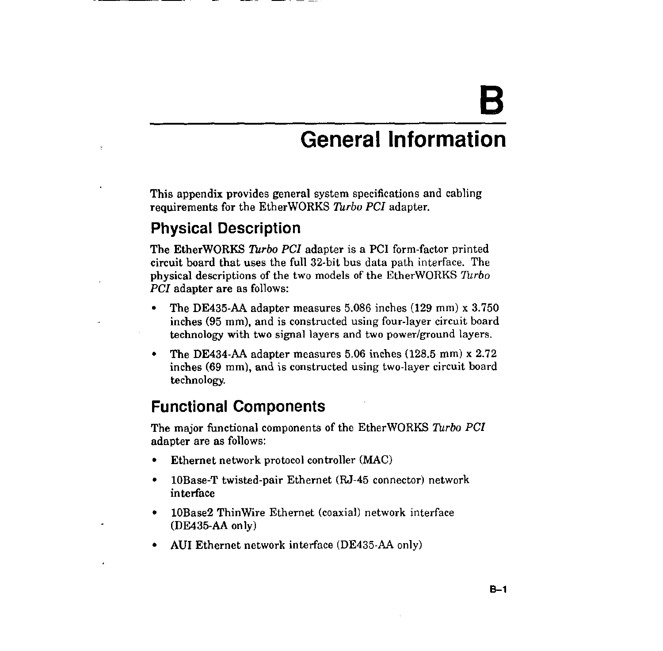# **B**

## **General Information**

This appendix provides general system specifications and cabling requirements for the EtherWORKS *Turbo PCI* adapter.

## **Physical Description**

Ÿ

The EtherWORKS *Turbo PCI* adapter is a PC! form-factor printed circuit board that uses the full 32-bit bus data path interface. The physical descriptions of the two models of the EtherWORKS *Turbo PCI* adapter are as follows:

- The DE435-AA adapter measures 5.086 inches (129 mm) x 3. 750 inches (95 mm), and is constructed using four-layer circuit board technology with two signal layers and two power/ground layers.
- The DE434-AA adapter measures 5.06 inches (128.5 mm) x 2.72 inches (69 mm), and is constructed using two-layer circuit board technology.

## **Functional Components**

The major functional components of the Ether WORKS Turbo *PCI*  adapter are as follows:

- Ethernet network protocol controller (MAC)
- lOBase-T twisted-pair Ethernet (RJ-45 connector) network interface
- 10Base2 ThinWire Ethernet (coaxial) network interface (DE435-AA only)
- AUI Ethernet network interface (DE435-AA only)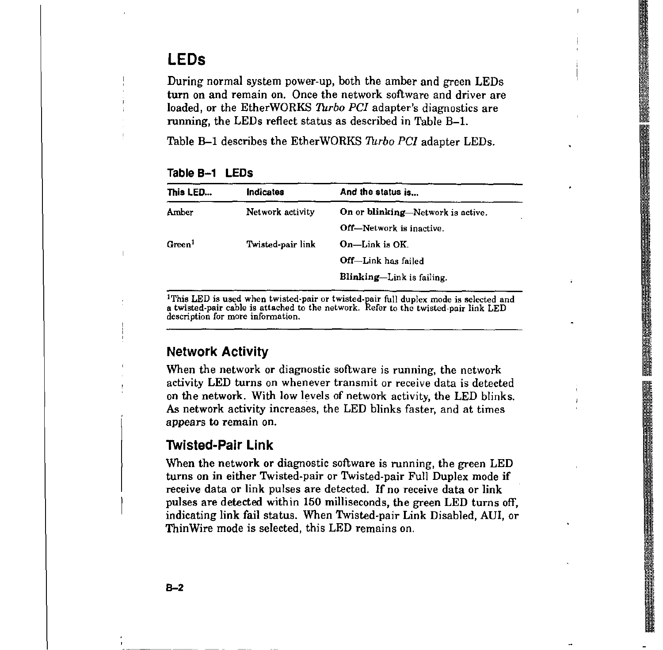## **LEDs**

During normal system power-up, both the amber and green LEDs turn on and remain on. Once the network software and driver are loaded, or the EtherWORKS *Turbo PCI* adapter's diagnostics are running, the LEDs reflect status as described in Table B-1.

Table B-1 describes the EtherWORKS *Turbo PCI* adapter LEDs.

| This LED      | Indicates         | And the status is                        |
|---------------|-------------------|------------------------------------------|
| Amber         | Network activity  | <b>On or blinking—Network is active.</b> |
|               |                   | <b>Off</b> —Network is inactive.         |
| $G$ reen $^1$ | Twisted-pair link | On-Link is OK.                           |
|               |                   | Off-Link has failed                      |
|               |                   | <b>Blinking—Link is failing.</b>         |

| Table B-1 |  | <b>LEDS</b> |
|-----------|--|-------------|
|-----------|--|-------------|

<sup>1</sup>This LED is used when twisted-pair or twisted-pair full duplex mode is selected and **a twisted-pair cable is attached to the network. Refer to the twisted-pair link LED description for more information.** 

#### **Network Activity**

When the network or diagnostic software is running, the network activity LED turns on whenever transmit or receive data is detected on the network. With low levels of network activity, the LED blinks. *As* network activity increases, the LED blinks faster, and at times appears to remain on.

#### **Twisted-Pair Link**

When the network or diagnostic software is running, the green LED turns on in either Twisted-pair or Twisted-pair Full Duplex mode if receive data or link pulses are detected. If no receive data or link pulses are detected within 150 milliseconds, the green LED turns off, indicating link fail status. When Twisted-pair Link Disabled, AUi, or ThinWire mode is selected, this LED remains on.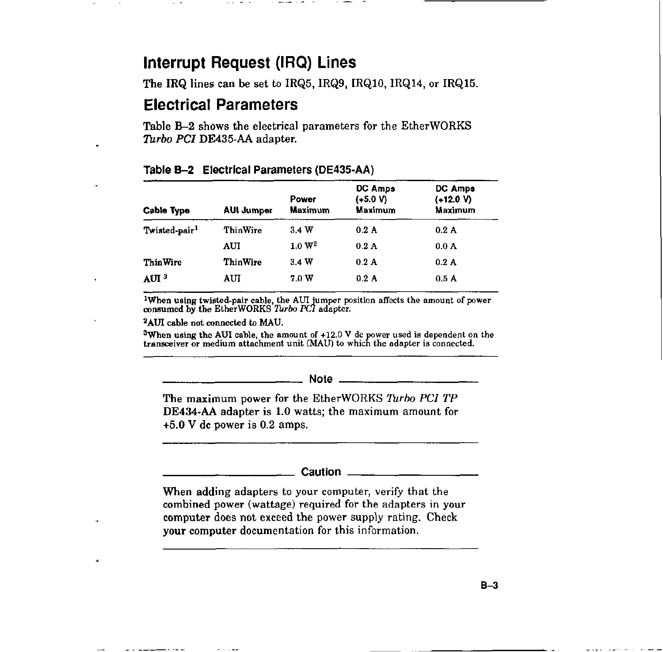## **Interrupt Request (IRQ) Lines**

The IRQ lines can be set to IRQ5, IRQ9, IRQ10, IRQ14, or IRQ15.

## **Electrical Parameters**

Table B-2 shows the electrical parameters for the EtherWORKS *Turbo PCI* DE435-AA adapter.

| <b>Cable Type</b>         | <b>AUI Jumper</b> | Power<br><b>Maximum</b> | <b>DC Amps</b><br>$(+5.0 V)$<br>Maximum | DC Amps<br>$(+12.0 V)$<br>Maximum |
|---------------------------|-------------------|-------------------------|-----------------------------------------|-----------------------------------|
| Twisted-pair <sup>1</sup> | ThinWire          | 3.4W                    | 0.2A                                    | 0.2A                              |
|                           | AUI               | 1.0 W <sup>2</sup>      | 0.2A                                    | 0.0 <sub>A</sub>                  |
| <b>ThinWire</b>           | ThinWire          | 3.4W                    | $0.2 \text{ A}$                         | 0.2A                              |
| AUI <sup>3</sup>          | AUI               | 70W                     | 0.2A                                    | 0.5A                              |

#### **Table B-2** Electrical Parameters (DE435-AA)

1When using twisted.pair cable, the AUI jumper position affects the amount of power consumed by the EtherWORKS *Turbo PCI* adapter.

2AUI cable not connected to MAU.

 $^3$ When using the AUI cable, the amount of +12.0 V dc power used is dependent on the<br>transceiver or medium attachment unit (MAU) to which the adapter is connected.

## \_\_\_\_\_\_\_\_\_\_\_ **Note** \_\_\_\_\_\_\_\_\_\_ \_

The maximum power for the EtherWORKS *Turbo PC/ TP*  DE434-AA adapter is LO watts; the maximum amount for +5.0 V de power is 0.2 amps,

# ----------- Caution \_\_\_\_\_\_\_\_\_\_ \_

When adding adapters to your computer, verify that the combined power (wattage) required for the adapters in your computer does not exceed the power supply rating, Check your computer documentation for this information.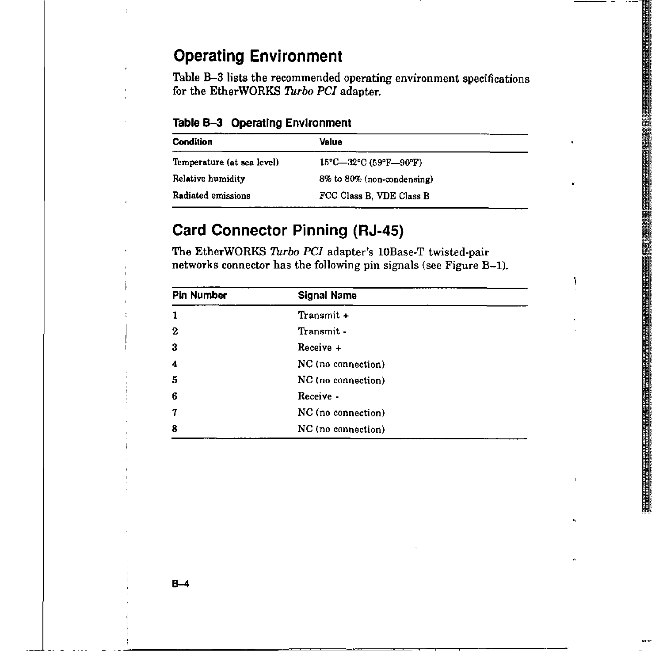## **Operating Environment**

Table B-3 lists the recommended operating environment specifications for the EtherWORKS *Turbo PC!* adapter.

**Table B-3 Operating Environment** 

| <b>Condition</b>           | Value                                                            |  |
|----------------------------|------------------------------------------------------------------|--|
| Temperature (at sea level) | $15^{\circ}$ C-32 $^{\circ}$ C (59 $^{\circ}$ F-90 $^{\circ}$ F) |  |
| Relative humidity          | 8% to 80% (non-condensing)                                       |  |
| Radiated emissions         | FCC Class B, VDE Class B                                         |  |

## **Card Connector Pinning (RJ-45}**

The EtherWORKS *Turbo PC!* adapter's l0Base-T twisted-pair networks connector has the following pin signals (see Figure B-1).

| <b>Pin Number</b> | <b>Signal Name</b> |
|-------------------|--------------------|
|                   | Transmit +         |
| 2                 | Transmit -         |
| З                 | Receive +          |
| 4                 | NC (no connection) |
| 5                 | NC (no connection) |
| 6                 | Receive -          |
| 7                 | NC (no connection) |
| 8                 | NC (no connection) |

ň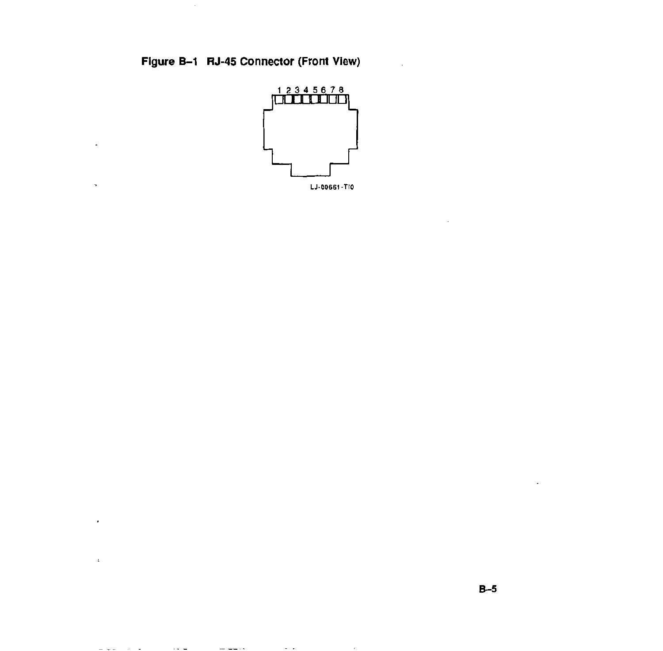## Figure B-1 RJ-45 Connector (Front View)

 $\sim$ 

 $\Delta$ 

 $\ddot{\phantom{a}}$ 

 $\cdot$ 

 $\bar{a}$ 

and the contract of the contract of the contract of the contract of the contract of the contract of the contract of the contract of the contract of the contract of the contract of the contract of the contract of the contra



 $\sim$  .

 $\sim 10^{-11}$ 

 $\mathbf{r}$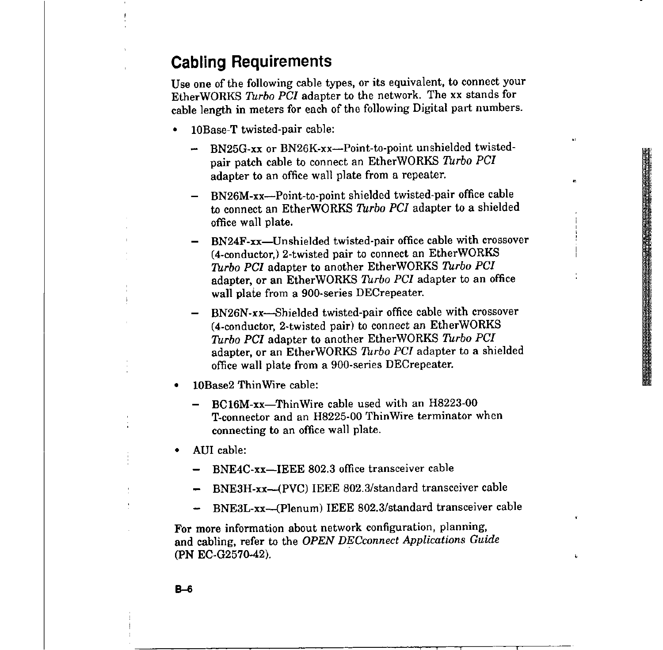•

 $\mathbf{L}$ 

## **Cabling Requirements**

Use one of the following cable types, or its equivalent, to connect your EtherWORKS *Turbo PCI* adapter to the network. The xx stands for cable length in meters for each of the following Digital part numbers.

- l0Base-T twisted-pair cable:
	- BN25G-xx or BN26K-xx-Point-to-point unshielded twisted- $\rightarrow$ pair patch cable to connect an EtherWORKS *Turbo PCI*  adapter to an office wall plate from a repeater.
	- BN26M-xx--Point-to-point shielded twisted-pair office cable to connect an EtherWORKS *Turbo PCI* adapter to a shielded office wall plate.
	- BN24F-xx-Unshielded twisted-pair office cable with crossover (4-conductor,) 2-twisted pair to connect an EtherWORKS *Turbo PCI* adapter to another EtherWORKS *Turbo PCI*  adapter, or an EtherWORKS *Turbo PCI* adapter to an office wall plate from a 900-series DECrepeater.
	- BN26N-xx-Shielded twisted-pair office cable with crossover (4-conductor, 2-twisted pair) to connect an EtherWORKS *Turbo PCI* adapter to another EtherWORKS *Turbo PCI*  adapter, or an EtherWORKS *Turbo PCI* adapter to a shielded office wall plate from a 900-series DECrepeater.
- 10Base2 ThinWire cable:
	- BC16M-xx-ThinWire cable used with an H8223-00 T-connector and an H8225-00 ThinWire terminator when connecting to an office wall plate.
- AUi cable:
	- BNE4C-xx-IEEE 802.3 office transceiver cable
	- BNE3H-xx-{PVC) IEEE 802.3/standard transceiver cable
	- BNE3L-xx-{Plenum) IEEE 802.3/standard transceiver cable

For more information about network configuration, planning, and cabling, refer to the *OPEN DECconnect Applications Guide*  **(PN EC-G2570-42).**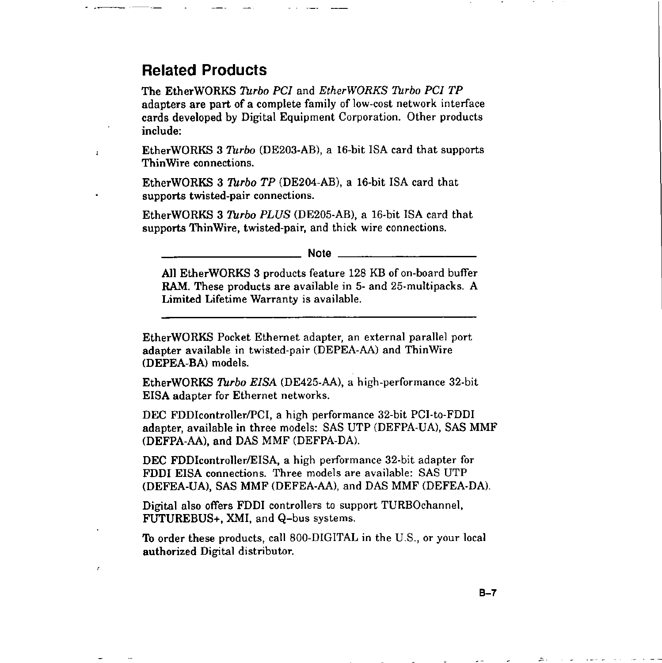## **Related Products**

 $\cdot$ 

The EtherWORKS *Turbo PC!* and *EtherWORKS Turbo PCI TP*  adapters are part of a complete family of low-cost network interface cards developed by Digital Equipment Corporation. Other products include:

EtherWORKS 3 *Turbo* (DE203-AB), a 16-bit ISA card that supports ThinWire connections.

EtherWORKS 3 *Turbo TP* (DE204-AB), a 16-bit ISA card that supports twisted-pair connections.

EtherWORKS 3 *Turbo PLUS* (DE205-AB), a 16-bit ISA card that supports ThinWire, twisted-pair, and thick wire connections.

**Note** \_\_\_\_\_\_\_\_\_ \_

**All** EtherWORKS 3 products feature 128 KB of on-board buffer **RAM.** These products are available in 5- and 25-multipacks. A Limited Lifetime Warranty is available.

EtherWORKS Pocket Ethernet adapter, an external parallel port adapter available in twisted-pair (DEPEA-AA) and ThinWire (DEPEA-BA) models.

EtherWORKS *Turbo EISA* (DE425-AA), a high-performance 32-bit EISA adapter for Ethernet networks.

DEC FDDIcontroller/PCI, a high performance 32-bit PCI-to-FDDI adapter, available in three models: SAS UTP (DEFPA-UA), SAS MMF (DEFPA-AA), and DAS MMF (DEFPA-DA).

DEC FDDI controller/EISA, a high performance 32-bit adapter for FDDI EISA connections. Three models are available: SAS UTP (DEFEA-UA), SAS MMF (DEFEA-AA), and DAS MMF (DEFEA-DA).

Digital also offers FDDI controllers to support TURBOchannel, FUTUREBUS+, XMI, and Q-bus systems.

To order these products, call 800-DIGITAL in the U.S., or your local authorized Digital distributor.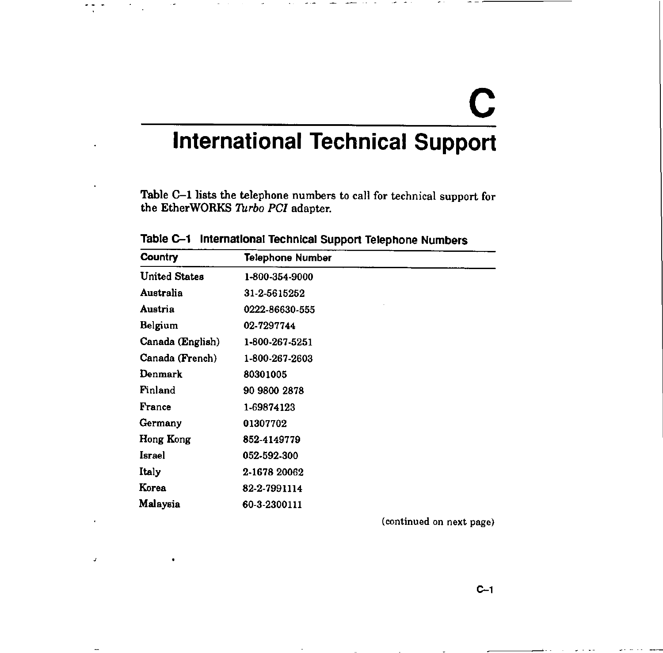# **C International Technical Support**

Table C-1 lists the telephone numbers to call for technical support for the EtherWORKS *Turbo PCI* adapter.

| <b>Country</b>       | <b>Telephone Number</b> |
|----------------------|-------------------------|
| <b>United States</b> | 1-800-354-9000          |
| Australia            | 31-2-5615252            |
| Austria              | 0222-86630-555          |
| Belgium              | 02-7297744              |
| Canada (English)     | 1-800-267-5251          |
| Canada (French)      | 1-800-267-2603          |
| Denmark              | 80301005                |
| Finland              | 90 9800 2878            |
| France               | 1-69874123              |
| Germany              | 01307702                |
| Hong Kong            | 852-4149779             |
| Israel               | 052-592-300             |
| <b>Italy</b>         | 2-1678 20062            |
| Korea                | 82-2-7991114            |
| Malaysia             | 60-3-2300111            |

**Table C-1 International Technical Support Telephone Numbers** 

 $\cdot$   $\cdot$ 

 $\pmb{\mathcal{J}}$ 

 $\overline{\phantom{a}}$ 

**(continued on next page)**